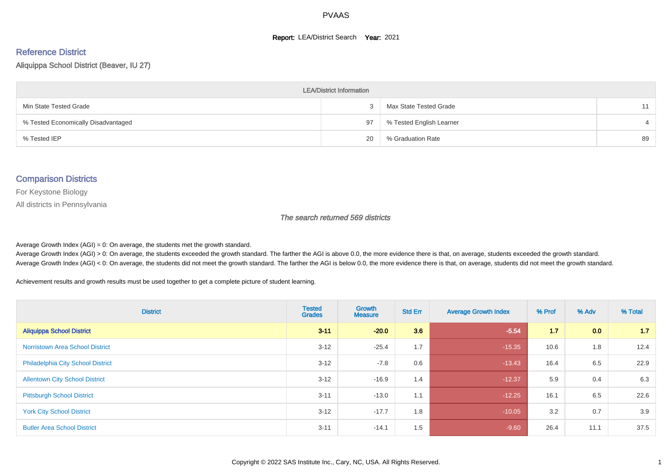#### **Report: LEA/District Search Year: 2021**

# Reference District

Aliquippa School District (Beaver, IU 27)

| <b>LEA/District Information</b>     |    |                          |    |  |  |  |  |  |  |  |
|-------------------------------------|----|--------------------------|----|--|--|--|--|--|--|--|
| Min State Tested Grade              |    | Max State Tested Grade   | 11 |  |  |  |  |  |  |  |
| % Tested Economically Disadvantaged | 97 | % Tested English Learner |    |  |  |  |  |  |  |  |
| % Tested IEP                        | 20 | % Graduation Rate        | 89 |  |  |  |  |  |  |  |

#### Comparison Districts

For Keystone Biology

All districts in Pennsylvania

The search returned 569 districts

Average Growth Index  $(AGI) = 0$ : On average, the students met the growth standard.

Average Growth Index (AGI) > 0: On average, the students exceeded the growth standard. The farther the AGI is above 0.0, the more evidence there is that, on average, students exceeded the growth standard. Average Growth Index (AGI) < 0: On average, the students did not meet the growth standard. The farther the AGI is below 0.0, the more evidence there is that, on average, students did not meet the growth standard.

Achievement results and growth results must be used together to get a complete picture of student learning.

| <b>District</b>                          | <b>Tested</b><br><b>Grades</b> | Growth<br><b>Measure</b> | <b>Std Err</b> | <b>Average Growth Index</b> | % Prof | % Adv | % Total |
|------------------------------------------|--------------------------------|--------------------------|----------------|-----------------------------|--------|-------|---------|
| <b>Aliquippa School District</b>         | $3 - 11$                       | $-20.0$                  | 3.6            | $-5.54$                     | 1.7    | 0.0   | 1.7     |
| <b>Norristown Area School District</b>   | $3 - 12$                       | $-25.4$                  | 1.7            | $-15.35$                    | 10.6   | 1.8   | 12.4    |
| <b>Philadelphia City School District</b> | $3 - 12$                       | $-7.8$                   | 0.6            | $-13.43$                    | 16.4   | 6.5   | 22.9    |
| <b>Allentown City School District</b>    | $3 - 12$                       | $-16.9$                  | 1.4            | $-12.37$                    | 5.9    | 0.4   | 6.3     |
| <b>Pittsburgh School District</b>        | $3 - 11$                       | $-13.0$                  | 1.1            | $-12.25$                    | 16.1   | 6.5   | 22.6    |
| <b>York City School District</b>         | $3 - 12$                       | $-17.7$                  | 1.8            | $-10.05$                    | 3.2    | 0.7   | 3.9     |
| <b>Butler Area School District</b>       | $3 - 11$                       | $-14.1$                  | 1.5            | $-9.60$                     | 26.4   | 11.1  | 37.5    |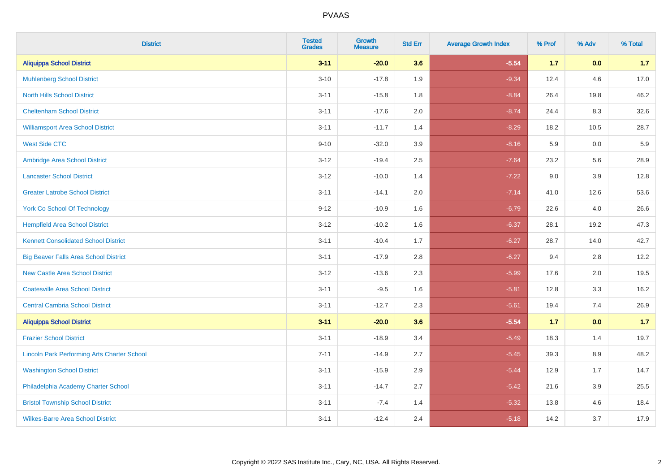| <b>District</b>                                    | <b>Tested</b><br><b>Grades</b> | Growth<br><b>Measure</b> | <b>Std Err</b> | <b>Average Growth Index</b> | % Prof | % Adv   | % Total |
|----------------------------------------------------|--------------------------------|--------------------------|----------------|-----------------------------|--------|---------|---------|
| <b>Aliquippa School District</b>                   | $3 - 11$                       | $-20.0$                  | 3.6            | $-5.54$                     | $1.7$  | 0.0     | 1.7     |
| <b>Muhlenberg School District</b>                  | $3 - 10$                       | $-17.8$                  | 1.9            | $-9.34$                     | 12.4   | 4.6     | 17.0    |
| <b>North Hills School District</b>                 | $3 - 11$                       | $-15.8$                  | 1.8            | $-8.84$                     | 26.4   | 19.8    | 46.2    |
| <b>Cheltenham School District</b>                  | $3 - 11$                       | $-17.6$                  | 2.0            | $-8.74$                     | 24.4   | 8.3     | 32.6    |
| <b>Williamsport Area School District</b>           | $3 - 11$                       | $-11.7$                  | 1.4            | $-8.29$                     | 18.2   | 10.5    | 28.7    |
| <b>West Side CTC</b>                               | $9 - 10$                       | $-32.0$                  | 3.9            | $-8.16$                     | 5.9    | 0.0     | 5.9     |
| Ambridge Area School District                      | $3 - 12$                       | $-19.4$                  | 2.5            | $-7.64$                     | 23.2   | 5.6     | 28.9    |
| <b>Lancaster School District</b>                   | $3 - 12$                       | $-10.0$                  | 1.4            | $-7.22$                     | 9.0    | 3.9     | 12.8    |
| <b>Greater Latrobe School District</b>             | $3 - 11$                       | $-14.1$                  | 2.0            | $-7.14$                     | 41.0   | 12.6    | 53.6    |
| <b>York Co School Of Technology</b>                | $9 - 12$                       | $-10.9$                  | 1.6            | $-6.79$                     | 22.6   | $4.0\,$ | 26.6    |
| <b>Hempfield Area School District</b>              | $3 - 12$                       | $-10.2$                  | 1.6            | $-6.37$                     | 28.1   | 19.2    | 47.3    |
| <b>Kennett Consolidated School District</b>        | $3 - 11$                       | $-10.4$                  | 1.7            | $-6.27$                     | 28.7   | 14.0    | 42.7    |
| <b>Big Beaver Falls Area School District</b>       | $3 - 11$                       | $-17.9$                  | 2.8            | $-6.27$                     | 9.4    | 2.8     | 12.2    |
| <b>New Castle Area School District</b>             | $3 - 12$                       | $-13.6$                  | 2.3            | $-5.99$                     | 17.6   | 2.0     | 19.5    |
| <b>Coatesville Area School District</b>            | $3 - 11$                       | $-9.5$                   | 1.6            | $-5.81$                     | 12.8   | 3.3     | 16.2    |
| <b>Central Cambria School District</b>             | $3 - 11$                       | $-12.7$                  | 2.3            | $-5.61$                     | 19.4   | 7.4     | 26.9    |
| <b>Aliquippa School District</b>                   | $3 - 11$                       | $-20.0$                  | 3.6            | $-5.54$                     | 1.7    | 0.0     | $1.7$   |
| <b>Frazier School District</b>                     | $3 - 11$                       | $-18.9$                  | 3.4            | $-5.49$                     | 18.3   | 1.4     | 19.7    |
| <b>Lincoln Park Performing Arts Charter School</b> | $7 - 11$                       | $-14.9$                  | 2.7            | $-5.45$                     | 39.3   | 8.9     | 48.2    |
| <b>Washington School District</b>                  | $3 - 11$                       | $-15.9$                  | 2.9            | $-5.44$                     | 12.9   | 1.7     | 14.7    |
| Philadelphia Academy Charter School                | $3 - 11$                       | $-14.7$                  | 2.7            | $-5.42$                     | 21.6   | 3.9     | 25.5    |
| <b>Bristol Township School District</b>            | $3 - 11$                       | $-7.4$                   | 1.4            | $-5.32$                     | 13.8   | 4.6     | 18.4    |
| <b>Wilkes-Barre Area School District</b>           | $3 - 11$                       | $-12.4$                  | 2.4            | $-5.18$                     | 14.2   | 3.7     | 17.9    |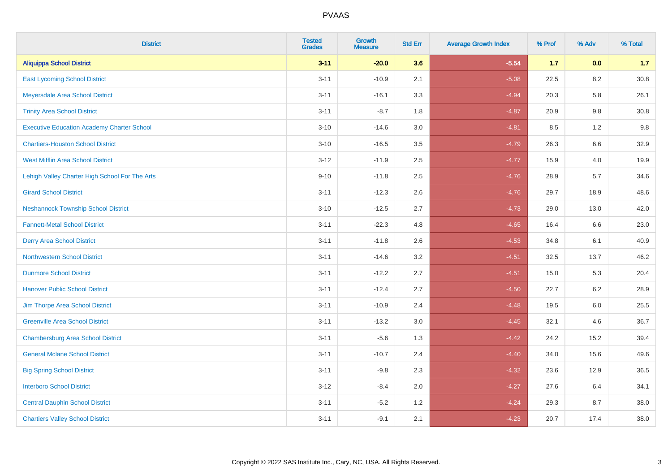| <b>District</b>                                   | <b>Tested</b><br><b>Grades</b> | <b>Growth</b><br><b>Measure</b> | <b>Std Err</b> | <b>Average Growth Index</b> | % Prof | % Adv   | % Total  |
|---------------------------------------------------|--------------------------------|---------------------------------|----------------|-----------------------------|--------|---------|----------|
| <b>Aliquippa School District</b>                  | $3 - 11$                       | $-20.0$                         | 3.6            | $-5.54$                     | $1.7$  | 0.0     | 1.7      |
| <b>East Lycoming School District</b>              | $3 - 11$                       | $-10.9$                         | 2.1            | $-5.08$                     | 22.5   | 8.2     | 30.8     |
| Meyersdale Area School District                   | $3 - 11$                       | $-16.1$                         | 3.3            | $-4.94$                     | 20.3   | 5.8     | 26.1     |
| <b>Trinity Area School District</b>               | $3 - 11$                       | $-8.7$                          | 1.8            | $-4.87$                     | 20.9   | $9.8\,$ | $30.8\,$ |
| <b>Executive Education Academy Charter School</b> | $3 - 10$                       | $-14.6$                         | 3.0            | $-4.81$                     | 8.5    | 1.2     | 9.8      |
| <b>Chartiers-Houston School District</b>          | $3 - 10$                       | $-16.5$                         | 3.5            | $-4.79$                     | 26.3   | $6.6\,$ | 32.9     |
| West Mifflin Area School District                 | $3 - 12$                       | $-11.9$                         | 2.5            | $-4.77$                     | 15.9   | 4.0     | 19.9     |
| Lehigh Valley Charter High School For The Arts    | $9 - 10$                       | $-11.8$                         | 2.5            | $-4.76$                     | 28.9   | 5.7     | 34.6     |
| <b>Girard School District</b>                     | $3 - 11$                       | $-12.3$                         | 2.6            | $-4.76$                     | 29.7   | 18.9    | 48.6     |
| <b>Neshannock Township School District</b>        | $3 - 10$                       | $-12.5$                         | 2.7            | $-4.73$                     | 29.0   | 13.0    | 42.0     |
| <b>Fannett-Metal School District</b>              | $3 - 11$                       | $-22.3$                         | 4.8            | $-4.65$                     | 16.4   | 6.6     | 23.0     |
| <b>Derry Area School District</b>                 | $3 - 11$                       | $-11.8$                         | 2.6            | $-4.53$                     | 34.8   | 6.1     | 40.9     |
| <b>Northwestern School District</b>               | $3 - 11$                       | $-14.6$                         | 3.2            | $-4.51$                     | 32.5   | 13.7    | 46.2     |
| <b>Dunmore School District</b>                    | $3 - 11$                       | $-12.2$                         | 2.7            | $-4.51$                     | 15.0   | 5.3     | 20.4     |
| <b>Hanover Public School District</b>             | $3 - 11$                       | $-12.4$                         | 2.7            | $-4.50$                     | 22.7   | 6.2     | 28.9     |
| Jim Thorpe Area School District                   | $3 - 11$                       | $-10.9$                         | 2.4            | $-4.48$                     | 19.5   | 6.0     | 25.5     |
| <b>Greenville Area School District</b>            | $3 - 11$                       | $-13.2$                         | 3.0            | $-4.45$                     | 32.1   | 4.6     | 36.7     |
| <b>Chambersburg Area School District</b>          | $3 - 11$                       | $-5.6$                          | 1.3            | $-4.42$                     | 24.2   | 15.2    | 39.4     |
| <b>General Mclane School District</b>             | $3 - 11$                       | $-10.7$                         | 2.4            | $-4.40$                     | 34.0   | 15.6    | 49.6     |
| <b>Big Spring School District</b>                 | $3 - 11$                       | $-9.8$                          | 2.3            | $-4.32$                     | 23.6   | 12.9    | 36.5     |
| <b>Interboro School District</b>                  | $3 - 12$                       | $-8.4$                          | 2.0            | $-4.27$                     | 27.6   | 6.4     | 34.1     |
| <b>Central Dauphin School District</b>            | $3 - 11$                       | $-5.2$                          | 1.2            | $-4.24$                     | 29.3   | 8.7     | 38.0     |
| <b>Chartiers Valley School District</b>           | $3 - 11$                       | $-9.1$                          | 2.1            | $-4.23$                     | 20.7   | 17.4    | 38.0     |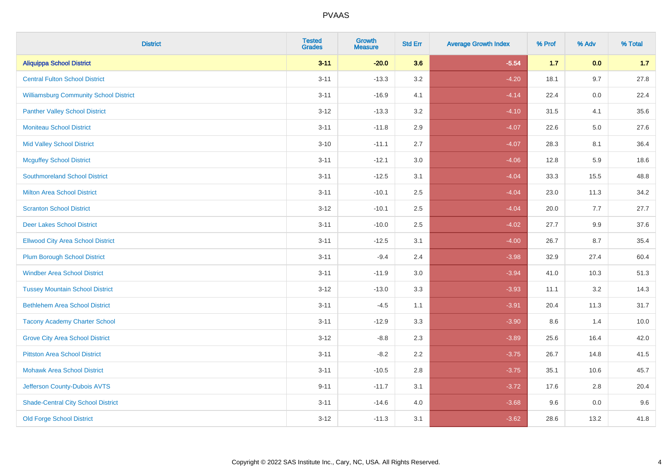| <b>District</b>                               | <b>Tested</b><br><b>Grades</b> | Growth<br><b>Measure</b> | <b>Std Err</b> | <b>Average Growth Index</b> | % Prof | % Adv | % Total |
|-----------------------------------------------|--------------------------------|--------------------------|----------------|-----------------------------|--------|-------|---------|
| <b>Aliquippa School District</b>              | $3 - 11$                       | $-20.0$                  | 3.6            | $-5.54$                     | $1.7$  | 0.0   | 1.7     |
| <b>Central Fulton School District</b>         | $3 - 11$                       | $-13.3$                  | 3.2            | $-4.20$                     | 18.1   | 9.7   | 27.8    |
| <b>Williamsburg Community School District</b> | $3 - 11$                       | $-16.9$                  | 4.1            | $-4.14$                     | 22.4   | 0.0   | 22.4    |
| <b>Panther Valley School District</b>         | $3 - 12$                       | $-13.3$                  | 3.2            | $-4.10$                     | 31.5   | 4.1   | 35.6    |
| <b>Moniteau School District</b>               | $3 - 11$                       | $-11.8$                  | 2.9            | $-4.07$                     | 22.6   | 5.0   | 27.6    |
| <b>Mid Valley School District</b>             | $3 - 10$                       | $-11.1$                  | 2.7            | $-4.07$                     | 28.3   | 8.1   | 36.4    |
| <b>Mcguffey School District</b>               | $3 - 11$                       | $-12.1$                  | 3.0            | $-4.06$                     | 12.8   | 5.9   | 18.6    |
| <b>Southmoreland School District</b>          | $3 - 11$                       | $-12.5$                  | 3.1            | $-4.04$                     | 33.3   | 15.5  | 48.8    |
| <b>Milton Area School District</b>            | $3 - 11$                       | $-10.1$                  | 2.5            | $-4.04$                     | 23.0   | 11.3  | 34.2    |
| <b>Scranton School District</b>               | $3 - 12$                       | $-10.1$                  | 2.5            | $-4.04$                     | 20.0   | 7.7   | 27.7    |
| <b>Deer Lakes School District</b>             | $3 - 11$                       | $-10.0$                  | 2.5            | $-4.02$                     | 27.7   | 9.9   | 37.6    |
| <b>Ellwood City Area School District</b>      | $3 - 11$                       | $-12.5$                  | 3.1            | $-4.00$                     | 26.7   | 8.7   | 35.4    |
| <b>Plum Borough School District</b>           | $3 - 11$                       | $-9.4$                   | 2.4            | $-3.98$                     | 32.9   | 27.4  | 60.4    |
| <b>Windber Area School District</b>           | $3 - 11$                       | $-11.9$                  | 3.0            | $-3.94$                     | 41.0   | 10.3  | 51.3    |
| <b>Tussey Mountain School District</b>        | $3 - 12$                       | $-13.0$                  | 3.3            | $-3.93$                     | 11.1   | 3.2   | 14.3    |
| <b>Bethlehem Area School District</b>         | $3 - 11$                       | $-4.5$                   | 1.1            | $-3.91$                     | 20.4   | 11.3  | 31.7    |
| <b>Tacony Academy Charter School</b>          | $3 - 11$                       | $-12.9$                  | 3.3            | $-3.90$                     | 8.6    | 1.4   | 10.0    |
| <b>Grove City Area School District</b>        | $3 - 12$                       | $-8.8$                   | 2.3            | $-3.89$                     | 25.6   | 16.4  | 42.0    |
| <b>Pittston Area School District</b>          | $3 - 11$                       | $-8.2$                   | 2.2            | $-3.75$                     | 26.7   | 14.8  | 41.5    |
| <b>Mohawk Area School District</b>            | $3 - 11$                       | $-10.5$                  | 2.8            | $-3.75$                     | 35.1   | 10.6  | 45.7    |
| Jefferson County-Dubois AVTS                  | $9 - 11$                       | $-11.7$                  | 3.1            | $-3.72$                     | 17.6   | 2.8   | 20.4    |
| <b>Shade-Central City School District</b>     | $3 - 11$                       | $-14.6$                  | 4.0            | $-3.68$                     | 9.6    | 0.0   | 9.6     |
| <b>Old Forge School District</b>              | $3 - 12$                       | $-11.3$                  | 3.1            | $-3.62$                     | 28.6   | 13.2  | 41.8    |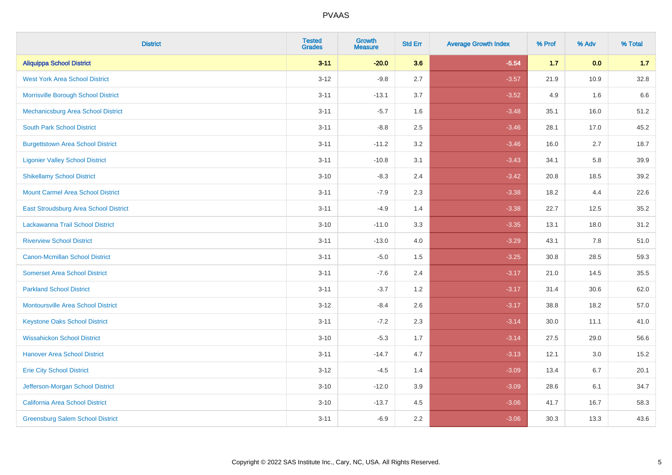| <b>District</b>                           | <b>Tested</b><br><b>Grades</b> | Growth<br><b>Measure</b> | <b>Std Err</b> | <b>Average Growth Index</b> | % Prof | % Adv | % Total |
|-------------------------------------------|--------------------------------|--------------------------|----------------|-----------------------------|--------|-------|---------|
| <b>Aliquippa School District</b>          | $3 - 11$                       | $-20.0$                  | 3.6            | $-5.54$                     | $1.7$  | 0.0   | 1.7     |
| <b>West York Area School District</b>     | $3 - 12$                       | $-9.8$                   | 2.7            | $-3.57$                     | 21.9   | 10.9  | 32.8    |
| Morrisville Borough School District       | $3 - 11$                       | $-13.1$                  | 3.7            | $-3.52$                     | 4.9    | 1.6   | 6.6     |
| Mechanicsburg Area School District        | $3 - 11$                       | $-5.7$                   | 1.6            | $-3.48$                     | 35.1   | 16.0  | 51.2    |
| <b>South Park School District</b>         | $3 - 11$                       | $-8.8$                   | 2.5            | $-3.46$                     | 28.1   | 17.0  | 45.2    |
| <b>Burgettstown Area School District</b>  | $3 - 11$                       | $-11.2$                  | 3.2            | $-3.46$                     | 16.0   | 2.7   | 18.7    |
| <b>Ligonier Valley School District</b>    | $3 - 11$                       | $-10.8$                  | 3.1            | $-3.43$                     | 34.1   | 5.8   | 39.9    |
| <b>Shikellamy School District</b>         | $3 - 10$                       | $-8.3$                   | 2.4            | $-3.42$                     | 20.8   | 18.5  | 39.2    |
| <b>Mount Carmel Area School District</b>  | $3 - 11$                       | $-7.9$                   | 2.3            | $-3.38$                     | 18.2   | 4.4   | 22.6    |
| East Stroudsburg Area School District     | $3 - 11$                       | $-4.9$                   | 1.4            | $-3.38$                     | 22.7   | 12.5  | 35.2    |
| Lackawanna Trail School District          | $3 - 10$                       | $-11.0$                  | 3.3            | $-3.35$                     | 13.1   | 18.0  | 31.2    |
| <b>Riverview School District</b>          | $3 - 11$                       | $-13.0$                  | 4.0            | $-3.29$                     | 43.1   | 7.8   | 51.0    |
| <b>Canon-Mcmillan School District</b>     | $3 - 11$                       | $-5.0$                   | 1.5            | $-3.25$                     | 30.8   | 28.5  | 59.3    |
| <b>Somerset Area School District</b>      | $3 - 11$                       | $-7.6$                   | 2.4            | $-3.17$                     | 21.0   | 14.5  | 35.5    |
| <b>Parkland School District</b>           | $3 - 11$                       | $-3.7$                   | 1.2            | $-3.17$                     | 31.4   | 30.6  | 62.0    |
| <b>Montoursville Area School District</b> | $3 - 12$                       | $-8.4$                   | 2.6            | $-3.17$                     | 38.8   | 18.2  | 57.0    |
| <b>Keystone Oaks School District</b>      | $3 - 11$                       | $-7.2$                   | 2.3            | $-3.14$                     | 30.0   | 11.1  | 41.0    |
| <b>Wissahickon School District</b>        | $3 - 10$                       | $-5.3$                   | 1.7            | $-3.14$                     | 27.5   | 29.0  | 56.6    |
| <b>Hanover Area School District</b>       | $3 - 11$                       | $-14.7$                  | 4.7            | $-3.13$                     | 12.1   | 3.0   | 15.2    |
| <b>Erie City School District</b>          | $3-12$                         | $-4.5$                   | 1.4            | $-3.09$                     | 13.4   | 6.7   | 20.1    |
| Jefferson-Morgan School District          | $3 - 10$                       | $-12.0$                  | 3.9            | $-3.09$                     | 28.6   | 6.1   | 34.7    |
| California Area School District           | $3 - 10$                       | $-13.7$                  | 4.5            | $-3.06$                     | 41.7   | 16.7  | 58.3    |
| <b>Greensburg Salem School District</b>   | $3 - 11$                       | $-6.9$                   | 2.2            | $-3.06$                     | 30.3   | 13.3  | 43.6    |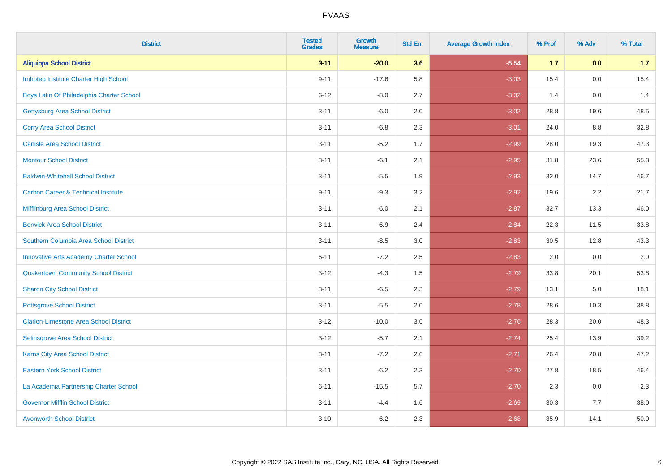| <b>District</b>                                | <b>Tested</b><br><b>Grades</b> | <b>Growth</b><br><b>Measure</b> | <b>Std Err</b> | <b>Average Growth Index</b> | % Prof | % Adv | % Total |
|------------------------------------------------|--------------------------------|---------------------------------|----------------|-----------------------------|--------|-------|---------|
| <b>Aliquippa School District</b>               | $3 - 11$                       | $-20.0$                         | 3.6            | $-5.54$                     | $1.7$  | 0.0   | 1.7     |
| Imhotep Institute Charter High School          | $9 - 11$                       | $-17.6$                         | 5.8            | $-3.03$                     | 15.4   | 0.0   | 15.4    |
| Boys Latin Of Philadelphia Charter School      | $6 - 12$                       | $-8.0$                          | 2.7            | $-3.02$                     | 1.4    | 0.0   | 1.4     |
| <b>Gettysburg Area School District</b>         | $3 - 11$                       | $-6.0$                          | 2.0            | $-3.02$                     | 28.8   | 19.6  | 48.5    |
| <b>Corry Area School District</b>              | $3 - 11$                       | $-6.8$                          | 2.3            | $-3.01$                     | 24.0   | 8.8   | 32.8    |
| <b>Carlisle Area School District</b>           | $3 - 11$                       | $-5.2$                          | 1.7            | $-2.99$                     | 28.0   | 19.3  | 47.3    |
| <b>Montour School District</b>                 | $3 - 11$                       | $-6.1$                          | 2.1            | $-2.95$                     | 31.8   | 23.6  | 55.3    |
| <b>Baldwin-Whitehall School District</b>       | $3 - 11$                       | $-5.5$                          | 1.9            | $-2.93$                     | 32.0   | 14.7  | 46.7    |
| <b>Carbon Career &amp; Technical Institute</b> | $9 - 11$                       | $-9.3$                          | 3.2            | $-2.92$                     | 19.6   | 2.2   | 21.7    |
| <b>Mifflinburg Area School District</b>        | $3 - 11$                       | $-6.0$                          | 2.1            | $-2.87$                     | 32.7   | 13.3  | 46.0    |
| <b>Berwick Area School District</b>            | $3 - 11$                       | $-6.9$                          | 2.4            | $-2.84$                     | 22.3   | 11.5  | 33.8    |
| Southern Columbia Area School District         | $3 - 11$                       | $-8.5$                          | 3.0            | $-2.83$                     | 30.5   | 12.8  | 43.3    |
| <b>Innovative Arts Academy Charter School</b>  | $6 - 11$                       | $-7.2$                          | 2.5            | $-2.83$                     | 2.0    | 0.0   | $2.0\,$ |
| <b>Quakertown Community School District</b>    | $3 - 12$                       | $-4.3$                          | $1.5$          | $-2.79$                     | 33.8   | 20.1  | 53.8    |
| <b>Sharon City School District</b>             | $3 - 11$                       | $-6.5$                          | 2.3            | $-2.79$                     | 13.1   | 5.0   | 18.1    |
| <b>Pottsgrove School District</b>              | $3 - 11$                       | $-5.5$                          | 2.0            | $-2.78$                     | 28.6   | 10.3  | 38.8    |
| <b>Clarion-Limestone Area School District</b>  | $3 - 12$                       | $-10.0$                         | 3.6            | $-2.76$                     | 28.3   | 20.0  | 48.3    |
| Selinsgrove Area School District               | $3 - 12$                       | $-5.7$                          | 2.1            | $-2.74$                     | 25.4   | 13.9  | 39.2    |
| <b>Karns City Area School District</b>         | $3 - 11$                       | $-7.2$                          | 2.6            | $-2.71$                     | 26.4   | 20.8  | 47.2    |
| <b>Eastern York School District</b>            | $3 - 11$                       | $-6.2$                          | 2.3            | $-2.70$                     | 27.8   | 18.5  | 46.4    |
| La Academia Partnership Charter School         | $6 - 11$                       | $-15.5$                         | 5.7            | $-2.70$                     | 2.3    | 0.0   | 2.3     |
| <b>Governor Mifflin School District</b>        | $3 - 11$                       | $-4.4$                          | 1.6            | $-2.69$                     | 30.3   | 7.7   | 38.0    |
| <b>Avonworth School District</b>               | $3 - 10$                       | $-6.2$                          | 2.3            | $-2.68$                     | 35.9   | 14.1  | 50.0    |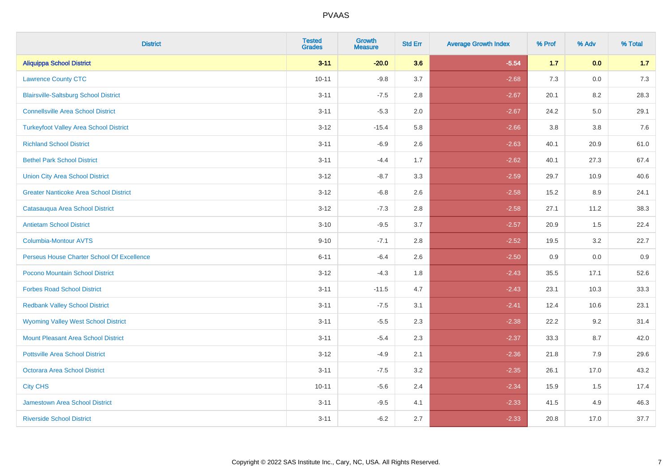| <b>District</b>                               | <b>Tested</b><br><b>Grades</b> | Growth<br><b>Measure</b> | <b>Std Err</b> | <b>Average Growth Index</b> | % Prof | % Adv   | % Total |
|-----------------------------------------------|--------------------------------|--------------------------|----------------|-----------------------------|--------|---------|---------|
| <b>Aliquippa School District</b>              | $3 - 11$                       | $-20.0$                  | 3.6            | $-5.54$                     | $1.7$  | 0.0     | 1.7     |
| <b>Lawrence County CTC</b>                    | $10 - 11$                      | $-9.8$                   | 3.7            | $-2.68$                     | 7.3    | 0.0     | 7.3     |
| <b>Blairsville-Saltsburg School District</b>  | $3 - 11$                       | $-7.5$                   | 2.8            | $-2.67$                     | 20.1   | 8.2     | 28.3    |
| <b>Connellsville Area School District</b>     | $3 - 11$                       | $-5.3$                   | 2.0            | $-2.67$                     | 24.2   | $5.0\,$ | 29.1    |
| <b>Turkeyfoot Valley Area School District</b> | $3 - 12$                       | $-15.4$                  | 5.8            | $-2.66$                     | 3.8    | 3.8     | 7.6     |
| <b>Richland School District</b>               | $3 - 11$                       | $-6.9$                   | 2.6            | $-2.63$                     | 40.1   | 20.9    | 61.0    |
| <b>Bethel Park School District</b>            | $3 - 11$                       | $-4.4$                   | 1.7            | $-2.62$                     | 40.1   | 27.3    | 67.4    |
| <b>Union City Area School District</b>        | $3 - 12$                       | $-8.7$                   | 3.3            | $-2.59$                     | 29.7   | 10.9    | 40.6    |
| <b>Greater Nanticoke Area School District</b> | $3-12$                         | $-6.8$                   | 2.6            | $-2.58$                     | 15.2   | 8.9     | 24.1    |
| Catasauqua Area School District               | $3 - 12$                       | $-7.3$                   | 2.8            | $-2.58$                     | 27.1   | 11.2    | 38.3    |
| <b>Antietam School District</b>               | $3 - 10$                       | $-9.5$                   | 3.7            | $-2.57$                     | 20.9   | 1.5     | 22.4    |
| <b>Columbia-Montour AVTS</b>                  | $9 - 10$                       | $-7.1$                   | 2.8            | $-2.52$                     | 19.5   | 3.2     | 22.7    |
| Perseus House Charter School Of Excellence    | $6 - 11$                       | $-6.4$                   | 2.6            | $-2.50$                     | 0.9    | 0.0     | 0.9     |
| Pocono Mountain School District               | $3-12$                         | $-4.3$                   | 1.8            | $-2.43$                     | 35.5   | 17.1    | 52.6    |
| <b>Forbes Road School District</b>            | $3 - 11$                       | $-11.5$                  | 4.7            | $-2.43$                     | 23.1   | 10.3    | 33.3    |
| <b>Redbank Valley School District</b>         | $3 - 11$                       | $-7.5$                   | 3.1            | $-2.41$                     | 12.4   | 10.6    | 23.1    |
| <b>Wyoming Valley West School District</b>    | $3 - 11$                       | $-5.5$                   | 2.3            | $-2.38$                     | 22.2   | 9.2     | 31.4    |
| <b>Mount Pleasant Area School District</b>    | $3 - 11$                       | $-5.4$                   | 2.3            | $-2.37$                     | 33.3   | 8.7     | 42.0    |
| <b>Pottsville Area School District</b>        | $3 - 12$                       | $-4.9$                   | 2.1            | $-2.36$                     | 21.8   | 7.9     | 29.6    |
| Octorara Area School District                 | $3 - 11$                       | $-7.5$                   | 3.2            | $-2.35$                     | 26.1   | 17.0    | 43.2    |
| <b>City CHS</b>                               | $10 - 11$                      | $-5.6$                   | 2.4            | $-2.34$                     | 15.9   | 1.5     | 17.4    |
| <b>Jamestown Area School District</b>         | $3 - 11$                       | $-9.5$                   | 4.1            | $-2.33$                     | 41.5   | 4.9     | 46.3    |
| <b>Riverside School District</b>              | $3 - 11$                       | $-6.2$                   | 2.7            | $-2.33$                     | 20.8   | 17.0    | 37.7    |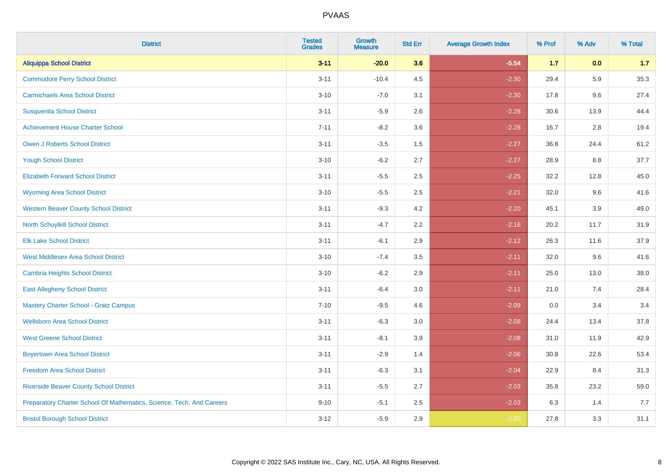| <b>District</b>                                                       | <b>Tested</b><br><b>Grades</b> | Growth<br><b>Measure</b> | <b>Std Err</b> | <b>Average Growth Index</b> | % Prof | % Adv   | % Total |
|-----------------------------------------------------------------------|--------------------------------|--------------------------|----------------|-----------------------------|--------|---------|---------|
| <b>Aliquippa School District</b>                                      | $3 - 11$                       | $-20.0$                  | 3.6            | $-5.54$                     | 1.7    | 0.0     | 1.7     |
| <b>Commodore Perry School District</b>                                | $3 - 11$                       | $-10.4$                  | 4.5            | $-2.30$                     | 29.4   | 5.9     | 35.3    |
| <b>Carmichaels Area School District</b>                               | $3 - 10$                       | $-7.0$                   | 3.1            | $-2.30$                     | 17.8   | 9.6     | 27.4    |
| <b>Susquenita School District</b>                                     | $3 - 11$                       | $-5.9$                   | 2.6            | $-2.28$                     | 30.6   | 13.9    | 44.4    |
| <b>Achievement House Charter School</b>                               | $7 - 11$                       | $-8.2$                   | 3.6            | $-2.28$                     | 16.7   | 2.8     | 19.4    |
| <b>Owen J Roberts School District</b>                                 | $3 - 11$                       | $-3.5$                   | 1.5            | $-2.27$                     | 36.8   | 24.4    | 61.2    |
| <b>Yough School District</b>                                          | $3 - 10$                       | $-6.2$                   | 2.7            | $-2.27$                     | 28.9   | $8.8\,$ | 37.7    |
| <b>Elizabeth Forward School District</b>                              | $3 - 11$                       | $-5.5$                   | 2.5            | $-2.25$                     | 32.2   | 12.8    | 45.0    |
| <b>Wyoming Area School District</b>                                   | $3 - 10$                       | $-5.5$                   | 2.5            | $-2.21$                     | 32.0   | 9.6     | 41.6    |
| <b>Western Beaver County School District</b>                          | $3 - 11$                       | $-9.3$                   | 4.2            | $-2.20$                     | 45.1   | $3.9\,$ | 49.0    |
| North Schuylkill School District                                      | $3 - 11$                       | $-4.7$                   | 2.2            | $-2.16$                     | 20.2   | 11.7    | 31.9    |
| <b>Elk Lake School District</b>                                       | $3 - 11$                       | $-6.1$                   | 2.9            | $-2.12$                     | 26.3   | 11.6    | 37.9    |
| <b>West Middlesex Area School District</b>                            | $3 - 10$                       | $-7.4$                   | 3.5            | $-2.11$                     | 32.0   | 9.6     | 41.6    |
| Cambria Heights School District                                       | $3 - 10$                       | $-6.2$                   | 2.9            | $-2.11$                     | 25.0   | 13.0    | 38.0    |
| <b>East Allegheny School District</b>                                 | $3 - 11$                       | $-6.4$                   | 3.0            | $-2.11$                     | 21.0   | 7.4     | 28.4    |
| <b>Mastery Charter School - Gratz Campus</b>                          | $7 - 10$                       | $-9.5$                   | 4.6            | $-2.09$                     | 0.0    | 3.4     | 3.4     |
| <b>Wellsboro Area School District</b>                                 | $3 - 11$                       | $-6.3$                   | 3.0            | $-2.08$                     | 24.4   | 13.4    | 37.8    |
| <b>West Greene School District</b>                                    | $3 - 11$                       | $-8.1$                   | 3.9            | $-2.08$                     | 31.0   | 11.9    | 42.9    |
| <b>Boyertown Area School District</b>                                 | $3 - 11$                       | $-2.9$                   | 1.4            | $-2.06$                     | 30.8   | 22.6    | 53.4    |
| <b>Freedom Area School District</b>                                   | $3 - 11$                       | $-6.3$                   | 3.1            | $-2.04$                     | 22.9   | 8.4     | 31.3    |
| <b>Riverside Beaver County School District</b>                        | $3 - 11$                       | $-5.5$                   | 2.7            | $-2.03$                     | 35.8   | 23.2    | 59.0    |
| Preparatory Charter School Of Mathematics, Science, Tech, And Careers | $9 - 10$                       | $-5.1$                   | 2.5            | $-2.03$                     | 6.3    | 1.4     | 7.7     |
| <b>Bristol Borough School District</b>                                | $3 - 12$                       | $-5.9$                   | 2.9            | $-2.00$                     | 27.8   | 3.3     | 31.1    |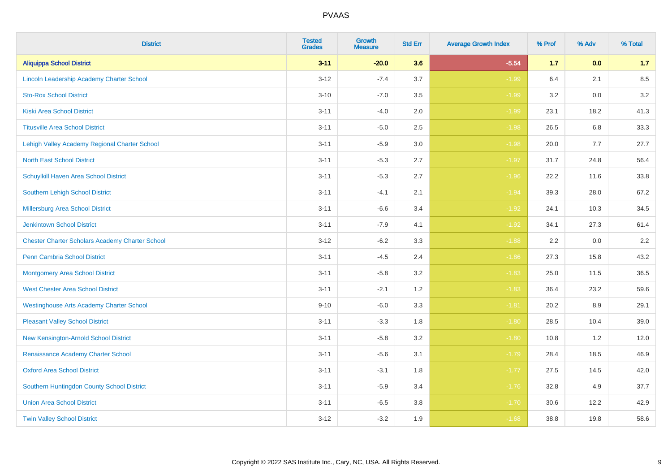| <b>District</b>                                        | <b>Tested</b><br><b>Grades</b> | Growth<br><b>Measure</b> | <b>Std Err</b> | <b>Average Growth Index</b> | % Prof | % Adv | % Total |
|--------------------------------------------------------|--------------------------------|--------------------------|----------------|-----------------------------|--------|-------|---------|
| <b>Aliquippa School District</b>                       | $3 - 11$                       | $-20.0$                  | 3.6            | $-5.54$                     | $1.7$  | 0.0   | 1.7     |
| Lincoln Leadership Academy Charter School              | $3 - 12$                       | $-7.4$                   | 3.7            | $-1.99$                     | 6.4    | 2.1   | 8.5     |
| <b>Sto-Rox School District</b>                         | $3 - 10$                       | $-7.0$                   | 3.5            | $-1.99$                     | 3.2    | 0.0   | 3.2     |
| Kiski Area School District                             | $3 - 11$                       | $-4.0$                   | 2.0            | $-1.99$                     | 23.1   | 18.2  | 41.3    |
| <b>Titusville Area School District</b>                 | $3 - 11$                       | $-5.0$                   | 2.5            | $-1.98$                     | 26.5   | 6.8   | 33.3    |
| Lehigh Valley Academy Regional Charter School          | $3 - 11$                       | $-5.9$                   | 3.0            | $-1.98$                     | 20.0   | 7.7   | 27.7    |
| <b>North East School District</b>                      | $3 - 11$                       | $-5.3$                   | 2.7            | $-1.97$                     | 31.7   | 24.8  | 56.4    |
| Schuylkill Haven Area School District                  | $3 - 11$                       | $-5.3$                   | 2.7            | $-1.96$                     | 22.2   | 11.6  | 33.8    |
| <b>Southern Lehigh School District</b>                 | $3 - 11$                       | $-4.1$                   | 2.1            | $-1.94$                     | 39.3   | 28.0  | 67.2    |
| Millersburg Area School District                       | $3 - 11$                       | $-6.6$                   | 3.4            | $-1.92$                     | 24.1   | 10.3  | 34.5    |
| <b>Jenkintown School District</b>                      | $3 - 11$                       | $-7.9$                   | 4.1            | $-1.92$                     | 34.1   | 27.3  | 61.4    |
| <b>Chester Charter Scholars Academy Charter School</b> | $3 - 12$                       | $-6.2$                   | 3.3            | $-1.88$                     | 2.2    | 0.0   | 2.2     |
| Penn Cambria School District                           | $3 - 11$                       | $-4.5$                   | 2.4            | $-1.86$                     | 27.3   | 15.8  | 43.2    |
| <b>Montgomery Area School District</b>                 | $3 - 11$                       | $-5.8$                   | 3.2            | $-1.83$                     | 25.0   | 11.5  | 36.5    |
| <b>West Chester Area School District</b>               | $3 - 11$                       | $-2.1$                   | 1.2            | $-1.83$                     | 36.4   | 23.2  | 59.6    |
| <b>Westinghouse Arts Academy Charter School</b>        | $9 - 10$                       | $-6.0$                   | 3.3            | $-1.81$                     | 20.2   | 8.9   | 29.1    |
| <b>Pleasant Valley School District</b>                 | $3 - 11$                       | $-3.3$                   | 1.8            | $-1.80$                     | 28.5   | 10.4  | 39.0    |
| New Kensington-Arnold School District                  | $3 - 11$                       | $-5.8$                   | 3.2            | $-1.80$                     | 10.8   | 1.2   | 12.0    |
| Renaissance Academy Charter School                     | $3 - 11$                       | $-5.6$                   | 3.1            | $-1.79$                     | 28.4   | 18.5  | 46.9    |
| <b>Oxford Area School District</b>                     | $3 - 11$                       | $-3.1$                   | 1.8            | $-1.77$                     | 27.5   | 14.5  | 42.0    |
| Southern Huntingdon County School District             | $3 - 11$                       | $-5.9$                   | 3.4            | $-1.76$                     | 32.8   | 4.9   | 37.7    |
| <b>Union Area School District</b>                      | $3 - 11$                       | $-6.5$                   | 3.8            | $-1.70$                     | 30.6   | 12.2  | 42.9    |
| <b>Twin Valley School District</b>                     | $3 - 12$                       | $-3.2$                   | 1.9            | $-1.68$                     | 38.8   | 19.8  | 58.6    |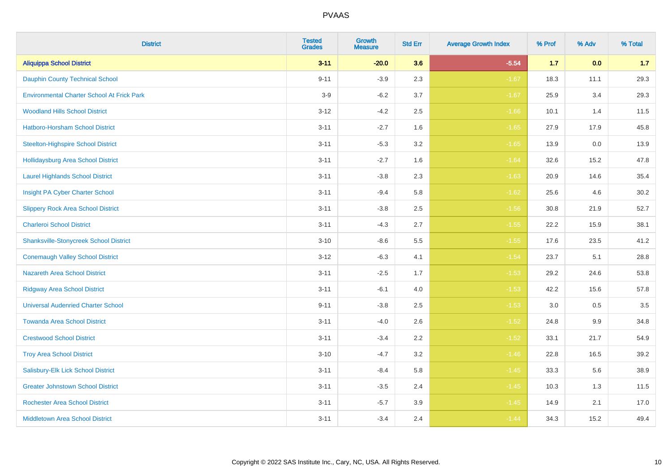| <b>District</b>                                   | <b>Tested</b><br><b>Grades</b> | <b>Growth</b><br><b>Measure</b> | <b>Std Err</b> | <b>Average Growth Index</b> | % Prof | % Adv | % Total |
|---------------------------------------------------|--------------------------------|---------------------------------|----------------|-----------------------------|--------|-------|---------|
| <b>Aliquippa School District</b>                  | $3 - 11$                       | $-20.0$                         | 3.6            | $-5.54$                     | $1.7$  | 0.0   | 1.7     |
| <b>Dauphin County Technical School</b>            | $9 - 11$                       | $-3.9$                          | 2.3            | $-1.67$                     | 18.3   | 11.1  | 29.3    |
| <b>Environmental Charter School At Frick Park</b> | $3-9$                          | $-6.2$                          | 3.7            | $-1.67$                     | 25.9   | 3.4   | 29.3    |
| <b>Woodland Hills School District</b>             | $3 - 12$                       | $-4.2$                          | 2.5            | $-1.66$                     | 10.1   | 1.4   | 11.5    |
| Hatboro-Horsham School District                   | $3 - 11$                       | $-2.7$                          | 1.6            | $-1.65$                     | 27.9   | 17.9  | 45.8    |
| <b>Steelton-Highspire School District</b>         | $3 - 11$                       | $-5.3$                          | 3.2            | $-1.65$                     | 13.9   | 0.0   | 13.9    |
| <b>Hollidaysburg Area School District</b>         | $3 - 11$                       | $-2.7$                          | 1.6            | $-1.64$                     | 32.6   | 15.2  | 47.8    |
| <b>Laurel Highlands School District</b>           | $3 - 11$                       | $-3.8$                          | 2.3            | $-1.63$                     | 20.9   | 14.6  | 35.4    |
| Insight PA Cyber Charter School                   | $3 - 11$                       | $-9.4$                          | 5.8            | $-1.62$                     | 25.6   | 4.6   | 30.2    |
| <b>Slippery Rock Area School District</b>         | $3 - 11$                       | $-3.8$                          | 2.5            | $-1.56$                     | 30.8   | 21.9  | 52.7    |
| <b>Charleroi School District</b>                  | $3 - 11$                       | $-4.3$                          | 2.7            | $-1.55$                     | 22.2   | 15.9  | 38.1    |
| <b>Shanksville-Stonycreek School District</b>     | $3 - 10$                       | $-8.6$                          | 5.5            | $-1.55$                     | 17.6   | 23.5  | 41.2    |
| <b>Conemaugh Valley School District</b>           | $3 - 12$                       | $-6.3$                          | 4.1            | $-1.54$                     | 23.7   | 5.1   | 28.8    |
| <b>Nazareth Area School District</b>              | $3 - 11$                       | $-2.5$                          | 1.7            | $-1.53$                     | 29.2   | 24.6  | 53.8    |
| <b>Ridgway Area School District</b>               | $3 - 11$                       | $-6.1$                          | 4.0            | $-1.53$                     | 42.2   | 15.6  | 57.8    |
| <b>Universal Audenried Charter School</b>         | $9 - 11$                       | $-3.8$                          | 2.5            | $-1.53$                     | 3.0    | 0.5   | 3.5     |
| <b>Towanda Area School District</b>               | $3 - 11$                       | $-4.0$                          | 2.6            | $-1.52$                     | 24.8   | 9.9   | 34.8    |
| <b>Crestwood School District</b>                  | $3 - 11$                       | $-3.4$                          | 2.2            | $-1.52$                     | 33.1   | 21.7  | 54.9    |
| <b>Troy Area School District</b>                  | $3 - 10$                       | $-4.7$                          | 3.2            | $-1.46$                     | 22.8   | 16.5  | 39.2    |
| Salisbury-Elk Lick School District                | $3 - 11$                       | $-8.4$                          | 5.8            | $-1.45$                     | 33.3   | 5.6   | 38.9    |
| <b>Greater Johnstown School District</b>          | $3 - 11$                       | $-3.5$                          | 2.4            | $-1.45$                     | 10.3   | 1.3   | 11.5    |
| <b>Rochester Area School District</b>             | $3 - 11$                       | $-5.7$                          | 3.9            | $-1.45$                     | 14.9   | 2.1   | 17.0    |
| <b>Middletown Area School District</b>            | $3 - 11$                       | $-3.4$                          | 2.4            | $-1.44$                     | 34.3   | 15.2  | 49.4    |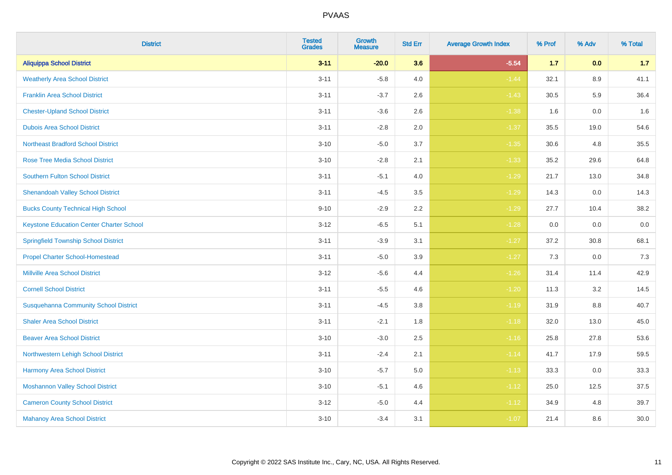| <b>District</b>                                 | <b>Tested</b><br><b>Grades</b> | Growth<br><b>Measure</b> | <b>Std Err</b> | <b>Average Growth Index</b> | % Prof | % Adv | % Total |
|-------------------------------------------------|--------------------------------|--------------------------|----------------|-----------------------------|--------|-------|---------|
| <b>Aliquippa School District</b>                | $3 - 11$                       | $-20.0$                  | 3.6            | $-5.54$                     | $1.7$  | 0.0   | 1.7     |
| <b>Weatherly Area School District</b>           | $3 - 11$                       | $-5.8$                   | 4.0            | $-1.44$                     | 32.1   | 8.9   | 41.1    |
| <b>Franklin Area School District</b>            | $3 - 11$                       | $-3.7$                   | 2.6            | $-1.43$                     | 30.5   | 5.9   | 36.4    |
| <b>Chester-Upland School District</b>           | $3 - 11$                       | $-3.6$                   | 2.6            | $-1.38$                     | 1.6    | 0.0   | 1.6     |
| <b>Dubois Area School District</b>              | $3 - 11$                       | $-2.8$                   | 2.0            | $-1.37$                     | 35.5   | 19.0  | 54.6    |
| <b>Northeast Bradford School District</b>       | $3 - 10$                       | $-5.0$                   | 3.7            | $-1.35$                     | 30.6   | 4.8   | 35.5    |
| <b>Rose Tree Media School District</b>          | $3 - 10$                       | $-2.8$                   | 2.1            | $-1.33$                     | 35.2   | 29.6  | 64.8    |
| <b>Southern Fulton School District</b>          | $3 - 11$                       | $-5.1$                   | 4.0            | $-1.29$                     | 21.7   | 13.0  | 34.8    |
| <b>Shenandoah Valley School District</b>        | $3 - 11$                       | $-4.5$                   | 3.5            | $-1.29$                     | 14.3   | 0.0   | 14.3    |
| <b>Bucks County Technical High School</b>       | $9 - 10$                       | $-2.9$                   | $2.2\,$        | $-1.29$                     | 27.7   | 10.4  | 38.2    |
| <b>Keystone Education Center Charter School</b> | $3 - 12$                       | $-6.5$                   | 5.1            | $-1.28$                     | 0.0    | 0.0   | $0.0\,$ |
| <b>Springfield Township School District</b>     | $3 - 11$                       | $-3.9$                   | 3.1            | $-1.27$                     | 37.2   | 30.8  | 68.1    |
| <b>Propel Charter School-Homestead</b>          | $3 - 11$                       | $-5.0$                   | 3.9            | $-1.27$                     | 7.3    | 0.0   | 7.3     |
| <b>Millville Area School District</b>           | $3 - 12$                       | $-5.6$                   | 4.4            | $-1.26$                     | 31.4   | 11.4  | 42.9    |
| <b>Cornell School District</b>                  | $3 - 11$                       | $-5.5$                   | 4.6            | $-1.20$                     | 11.3   | 3.2   | 14.5    |
| <b>Susquehanna Community School District</b>    | $3 - 11$                       | $-4.5$                   | 3.8            | $-1.19$                     | 31.9   | 8.8   | 40.7    |
| <b>Shaler Area School District</b>              | $3 - 11$                       | $-2.1$                   | 1.8            | $-1.18$                     | 32.0   | 13.0  | 45.0    |
| <b>Beaver Area School District</b>              | $3 - 10$                       | $-3.0$                   | 2.5            | $-1.16$                     | 25.8   | 27.8  | 53.6    |
| Northwestern Lehigh School District             | $3 - 11$                       | $-2.4$                   | 2.1            | $-1.14$                     | 41.7   | 17.9  | 59.5    |
| Harmony Area School District                    | $3 - 10$                       | $-5.7$                   | 5.0            | $-1.13$                     | 33.3   | 0.0   | 33.3    |
| <b>Moshannon Valley School District</b>         | $3 - 10$                       | $-5.1$                   | 4.6            | $-1.12$                     | 25.0   | 12.5  | 37.5    |
| <b>Cameron County School District</b>           | $3 - 12$                       | $-5.0$                   | 4.4            | $-1.12$                     | 34.9   | 4.8   | 39.7    |
| <b>Mahanoy Area School District</b>             | $3 - 10$                       | $-3.4$                   | 3.1            | $-1.07$                     | 21.4   | 8.6   | 30.0    |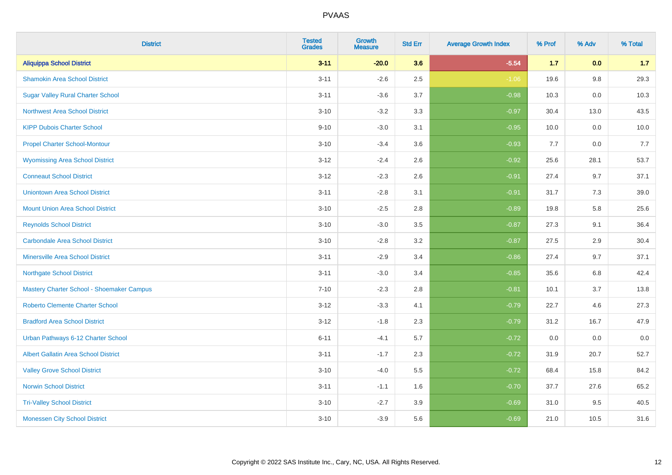| <b>District</b>                             | <b>Tested</b><br><b>Grades</b> | <b>Growth</b><br><b>Measure</b> | <b>Std Err</b> | <b>Average Growth Index</b> | % Prof | % Adv | % Total |
|---------------------------------------------|--------------------------------|---------------------------------|----------------|-----------------------------|--------|-------|---------|
| <b>Aliquippa School District</b>            | $3 - 11$                       | $-20.0$                         | 3.6            | $-5.54$                     | $1.7$  | 0.0   | 1.7     |
| <b>Shamokin Area School District</b>        | $3 - 11$                       | $-2.6$                          | 2.5            | $-1.06$                     | 19.6   | 9.8   | 29.3    |
| <b>Sugar Valley Rural Charter School</b>    | $3 - 11$                       | $-3.6$                          | 3.7            | $-0.98$                     | 10.3   | 0.0   | 10.3    |
| <b>Northwest Area School District</b>       | $3 - 10$                       | $-3.2$                          | 3.3            | $-0.97$                     | 30.4   | 13.0  | 43.5    |
| <b>KIPP Dubois Charter School</b>           | $9 - 10$                       | $-3.0$                          | 3.1            | $-0.95$                     | 10.0   | 0.0   | 10.0    |
| <b>Propel Charter School-Montour</b>        | $3 - 10$                       | $-3.4$                          | 3.6            | $-0.93$                     | 7.7    | 0.0   | 7.7     |
| <b>Wyomissing Area School District</b>      | $3 - 12$                       | $-2.4$                          | 2.6            | $-0.92$                     | 25.6   | 28.1  | 53.7    |
| <b>Conneaut School District</b>             | $3 - 12$                       | $-2.3$                          | 2.6            | $-0.91$                     | 27.4   | 9.7   | 37.1    |
| <b>Uniontown Area School District</b>       | $3 - 11$                       | $-2.8$                          | 3.1            | $-0.91$                     | 31.7   | 7.3   | 39.0    |
| <b>Mount Union Area School District</b>     | $3 - 10$                       | $-2.5$                          | $2.8\,$        | $-0.89$                     | 19.8   | 5.8   | 25.6    |
| <b>Reynolds School District</b>             | $3 - 10$                       | $-3.0$                          | 3.5            | $-0.87$                     | 27.3   | 9.1   | 36.4    |
| <b>Carbondale Area School District</b>      | $3 - 10$                       | $-2.8$                          | 3.2            | $-0.87$                     | 27.5   | 2.9   | 30.4    |
| <b>Minersville Area School District</b>     | $3 - 11$                       | $-2.9$                          | 3.4            | $-0.86$                     | 27.4   | 9.7   | 37.1    |
| <b>Northgate School District</b>            | $3 - 11$                       | $-3.0$                          | 3.4            | $-0.85$                     | 35.6   | 6.8   | 42.4    |
| Mastery Charter School - Shoemaker Campus   | $7 - 10$                       | $-2.3$                          | 2.8            | $-0.81$                     | 10.1   | 3.7   | 13.8    |
| Roberto Clemente Charter School             | $3 - 12$                       | $-3.3$                          | 4.1            | $-0.79$                     | 22.7   | 4.6   | 27.3    |
| <b>Bradford Area School District</b>        | $3 - 12$                       | $-1.8$                          | 2.3            | $-0.79$                     | 31.2   | 16.7  | 47.9    |
| Urban Pathways 6-12 Charter School          | $6 - 11$                       | $-4.1$                          | 5.7            | $-0.72$                     | 0.0    | 0.0   | $0.0\,$ |
| <b>Albert Gallatin Area School District</b> | $3 - 11$                       | $-1.7$                          | 2.3            | $-0.72$                     | 31.9   | 20.7  | 52.7    |
| <b>Valley Grove School District</b>         | $3 - 10$                       | $-4.0$                          | 5.5            | $-0.72$                     | 68.4   | 15.8  | 84.2    |
| <b>Norwin School District</b>               | $3 - 11$                       | $-1.1$                          | 1.6            | $-0.70$                     | 37.7   | 27.6  | 65.2    |
| <b>Tri-Valley School District</b>           | $3 - 10$                       | $-2.7$                          | 3.9            | $-0.69$                     | 31.0   | 9.5   | 40.5    |
| <b>Monessen City School District</b>        | $3 - 10$                       | $-3.9$                          | 5.6            | $-0.69$                     | 21.0   | 10.5  | 31.6    |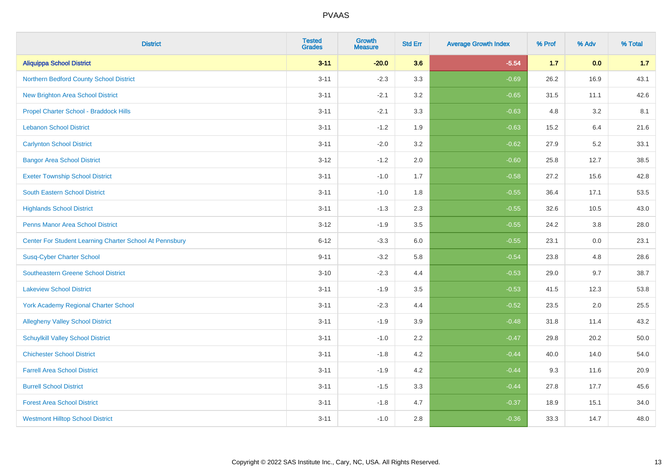| <b>District</b>                                         | <b>Tested</b><br><b>Grades</b> | <b>Growth</b><br><b>Measure</b> | <b>Std Err</b> | <b>Average Growth Index</b> | % Prof | % Adv | % Total |
|---------------------------------------------------------|--------------------------------|---------------------------------|----------------|-----------------------------|--------|-------|---------|
| <b>Aliquippa School District</b>                        | $3 - 11$                       | $-20.0$                         | 3.6            | $-5.54$                     | 1.7    | 0.0   | 1.7     |
| Northern Bedford County School District                 | $3 - 11$                       | $-2.3$                          | 3.3            | $-0.69$                     | 26.2   | 16.9  | 43.1    |
| <b>New Brighton Area School District</b>                | $3 - 11$                       | $-2.1$                          | 3.2            | $-0.65$                     | 31.5   | 11.1  | 42.6    |
| Propel Charter School - Braddock Hills                  | $3 - 11$                       | $-2.1$                          | 3.3            | $-0.63$                     | 4.8    | 3.2   | 8.1     |
| <b>Lebanon School District</b>                          | $3 - 11$                       | $-1.2$                          | 1.9            | $-0.63$                     | 15.2   | 6.4   | 21.6    |
| <b>Carlynton School District</b>                        | $3 - 11$                       | $-2.0$                          | 3.2            | $-0.62$                     | 27.9   | 5.2   | 33.1    |
| <b>Bangor Area School District</b>                      | $3 - 12$                       | $-1.2$                          | 2.0            | $-0.60$                     | 25.8   | 12.7  | 38.5    |
| <b>Exeter Township School District</b>                  | $3 - 11$                       | $-1.0$                          | 1.7            | $-0.58$                     | 27.2   | 15.6  | 42.8    |
| <b>South Eastern School District</b>                    | $3 - 11$                       | $-1.0$                          | 1.8            | $-0.55$                     | 36.4   | 17.1  | 53.5    |
| <b>Highlands School District</b>                        | $3 - 11$                       | $-1.3$                          | 2.3            | $-0.55$                     | 32.6   | 10.5  | 43.0    |
| <b>Penns Manor Area School District</b>                 | $3 - 12$                       | $-1.9$                          | 3.5            | $-0.55$                     | 24.2   | 3.8   | 28.0    |
| Center For Student Learning Charter School At Pennsbury | $6 - 12$                       | $-3.3$                          | 6.0            | $-0.55$                     | 23.1   | 0.0   | 23.1    |
| <b>Susq-Cyber Charter School</b>                        | $9 - 11$                       | $-3.2$                          | 5.8            | $-0.54$                     | 23.8   | 4.8   | 28.6    |
| Southeastern Greene School District                     | $3 - 10$                       | $-2.3$                          | 4.4            | $-0.53$                     | 29.0   | 9.7   | 38.7    |
| <b>Lakeview School District</b>                         | $3 - 11$                       | $-1.9$                          | 3.5            | $-0.53$                     | 41.5   | 12.3  | 53.8    |
| York Academy Regional Charter School                    | $3 - 11$                       | $-2.3$                          | 4.4            | $-0.52$                     | 23.5   | 2.0   | 25.5    |
| <b>Allegheny Valley School District</b>                 | $3 - 11$                       | $-1.9$                          | 3.9            | $-0.48$                     | 31.8   | 11.4  | 43.2    |
| <b>Schuylkill Valley School District</b>                | $3 - 11$                       | $-1.0$                          | 2.2            | $-0.47$                     | 29.8   | 20.2  | 50.0    |
| <b>Chichester School District</b>                       | $3 - 11$                       | $-1.8$                          | 4.2            | $-0.44$                     | 40.0   | 14.0  | 54.0    |
| <b>Farrell Area School District</b>                     | $3 - 11$                       | $-1.9$                          | 4.2            | $-0.44$                     | 9.3    | 11.6  | 20.9    |
| <b>Burrell School District</b>                          | $3 - 11$                       | $-1.5$                          | 3.3            | $-0.44$                     | 27.8   | 17.7  | 45.6    |
| <b>Forest Area School District</b>                      | $3 - 11$                       | $-1.8$                          | 4.7            | $-0.37$                     | 18.9   | 15.1  | 34.0    |
| <b>Westmont Hilltop School District</b>                 | $3 - 11$                       | $-1.0$                          | 2.8            | $-0.36$                     | 33.3   | 14.7  | 48.0    |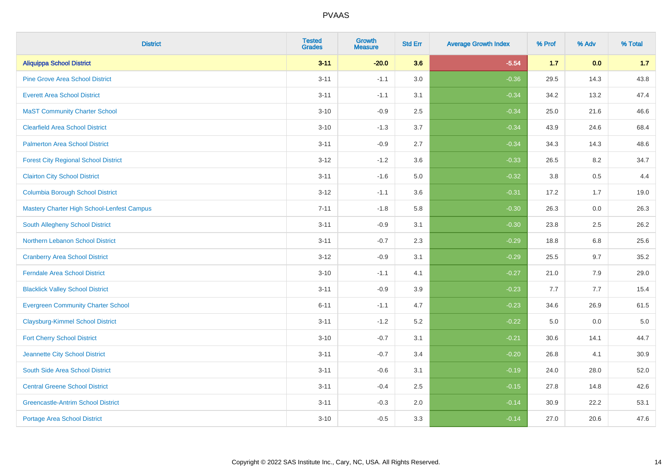| <b>District</b>                             | <b>Tested</b><br><b>Grades</b> | Growth<br><b>Measure</b> | <b>Std Err</b> | <b>Average Growth Index</b> | % Prof | % Adv | % Total |
|---------------------------------------------|--------------------------------|--------------------------|----------------|-----------------------------|--------|-------|---------|
| <b>Aliquippa School District</b>            | $3 - 11$                       | $-20.0$                  | 3.6            | $-5.54$                     | $1.7$  | 0.0   | 1.7     |
| <b>Pine Grove Area School District</b>      | $3 - 11$                       | $-1.1$                   | 3.0            | $-0.36$                     | 29.5   | 14.3  | 43.8    |
| <b>Everett Area School District</b>         | $3 - 11$                       | $-1.1$                   | 3.1            | $-0.34$                     | 34.2   | 13.2  | 47.4    |
| <b>MaST Community Charter School</b>        | $3 - 10$                       | $-0.9$                   | 2.5            | $-0.34$                     | 25.0   | 21.6  | 46.6    |
| <b>Clearfield Area School District</b>      | $3 - 10$                       | $-1.3$                   | 3.7            | $-0.34$                     | 43.9   | 24.6  | 68.4    |
| <b>Palmerton Area School District</b>       | $3 - 11$                       | $-0.9$                   | 2.7            | $-0.34$                     | 34.3   | 14.3  | 48.6    |
| <b>Forest City Regional School District</b> | $3 - 12$                       | $-1.2$                   | 3.6            | $-0.33$                     | 26.5   | 8.2   | 34.7    |
| <b>Clairton City School District</b>        | $3 - 11$                       | $-1.6$                   | $5.0\,$        | $-0.32$                     | 3.8    | 0.5   | 4.4     |
| <b>Columbia Borough School District</b>     | $3 - 12$                       | $-1.1$                   | 3.6            | $-0.31$                     | 17.2   | 1.7   | 19.0    |
| Mastery Charter High School-Lenfest Campus  | $7 - 11$                       | $-1.8$                   | 5.8            | $-0.30$                     | 26.3   | 0.0   | 26.3    |
| South Allegheny School District             | $3 - 11$                       | $-0.9$                   | 3.1            | $-0.30$                     | 23.8   | 2.5   | 26.2    |
| Northern Lebanon School District            | $3 - 11$                       | $-0.7$                   | 2.3            | $-0.29$                     | 18.8   | 6.8   | 25.6    |
| <b>Cranberry Area School District</b>       | $3 - 12$                       | $-0.9$                   | 3.1            | $-0.29$                     | 25.5   | 9.7   | 35.2    |
| <b>Ferndale Area School District</b>        | $3 - 10$                       | $-1.1$                   | 4.1            | $-0.27$                     | 21.0   | 7.9   | 29.0    |
| <b>Blacklick Valley School District</b>     | $3 - 11$                       | $-0.9$                   | 3.9            | $-0.23$                     | 7.7    | 7.7   | 15.4    |
| <b>Evergreen Community Charter School</b>   | $6 - 11$                       | $-1.1$                   | 4.7            | $-0.23$                     | 34.6   | 26.9  | 61.5    |
| <b>Claysburg-Kimmel School District</b>     | $3 - 11$                       | $-1.2$                   | 5.2            | $-0.22$                     | 5.0    | 0.0   | $5.0$   |
| <b>Fort Cherry School District</b>          | $3 - 10$                       | $-0.7$                   | 3.1            | $-0.21$                     | 30.6   | 14.1  | 44.7    |
| Jeannette City School District              | $3 - 11$                       | $-0.7$                   | 3.4            | $-0.20$                     | 26.8   | 4.1   | 30.9    |
| South Side Area School District             | $3 - 11$                       | $-0.6$                   | 3.1            | $-0.19$                     | 24.0   | 28.0  | 52.0    |
| <b>Central Greene School District</b>       | $3 - 11$                       | $-0.4$                   | 2.5            | $-0.15$                     | 27.8   | 14.8  | 42.6    |
| <b>Greencastle-Antrim School District</b>   | $3 - 11$                       | $-0.3$                   | 2.0            | $-0.14$                     | 30.9   | 22.2  | 53.1    |
| <b>Portage Area School District</b>         | $3 - 10$                       | $-0.5$                   | 3.3            | $-0.14$                     | 27.0   | 20.6  | 47.6    |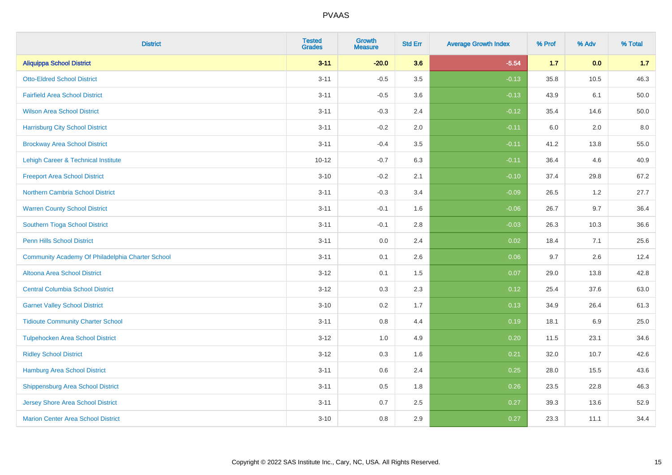| <b>District</b>                                  | <b>Tested</b><br><b>Grades</b> | <b>Growth</b><br><b>Measure</b> | <b>Std Err</b> | <b>Average Growth Index</b> | % Prof | % Adv   | % Total |
|--------------------------------------------------|--------------------------------|---------------------------------|----------------|-----------------------------|--------|---------|---------|
| <b>Aliquippa School District</b>                 | $3 - 11$                       | $-20.0$                         | 3.6            | $-5.54$                     | 1.7    | 0.0     | 1.7     |
| <b>Otto-Eldred School District</b>               | $3 - 11$                       | $-0.5$                          | $3.5\,$        | $-0.13$                     | 35.8   | 10.5    | 46.3    |
| <b>Fairfield Area School District</b>            | $3 - 11$                       | $-0.5$                          | 3.6            | $-0.13$                     | 43.9   | 6.1     | 50.0    |
| <b>Wilson Area School District</b>               | $3 - 11$                       | $-0.3$                          | 2.4            | $-0.12$                     | 35.4   | 14.6    | 50.0    |
| <b>Harrisburg City School District</b>           | $3 - 11$                       | $-0.2$                          | 2.0            | $-0.11$                     | 6.0    | 2.0     | 8.0     |
| <b>Brockway Area School District</b>             | $3 - 11$                       | $-0.4$                          | 3.5            | $-0.11$                     | 41.2   | 13.8    | 55.0    |
| Lehigh Career & Technical Institute              | $10 - 12$                      | $-0.7$                          | 6.3            | $-0.11$                     | 36.4   | 4.6     | 40.9    |
| <b>Freeport Area School District</b>             | $3 - 10$                       | $-0.2$                          | 2.1            | $-0.10$                     | 37.4   | 29.8    | 67.2    |
| Northern Cambria School District                 | $3 - 11$                       | $-0.3$                          | 3.4            | $-0.09$                     | 26.5   | 1.2     | 27.7    |
| <b>Warren County School District</b>             | $3 - 11$                       | $-0.1$                          | 1.6            | $-0.06$                     | 26.7   | 9.7     | 36.4    |
| Southern Tioga School District                   | $3 - 11$                       | $-0.1$                          | 2.8            | $-0.03$                     | 26.3   | 10.3    | 36.6    |
| <b>Penn Hills School District</b>                | $3 - 11$                       | 0.0                             | 2.4            | 0.02                        | 18.4   | 7.1     | 25.6    |
| Community Academy Of Philadelphia Charter School | $3 - 11$                       | 0.1                             | 2.6            | 0.06                        | 9.7    | $2.6\,$ | 12.4    |
| Altoona Area School District                     | $3 - 12$                       | 0.1                             | 1.5            | 0.07                        | 29.0   | 13.8    | 42.8    |
| <b>Central Columbia School District</b>          | $3 - 12$                       | 0.3                             | 2.3            | 0.12                        | 25.4   | 37.6    | 63.0    |
| <b>Garnet Valley School District</b>             | $3 - 10$                       | 0.2                             | 1.7            | 0.13                        | 34.9   | 26.4    | 61.3    |
| <b>Tidioute Community Charter School</b>         | $3 - 11$                       | 0.8                             | 4.4            | 0.19                        | 18.1   | 6.9     | 25.0    |
| <b>Tulpehocken Area School District</b>          | $3 - 12$                       | 1.0                             | 4.9            | 0.20                        | 11.5   | 23.1    | 34.6    |
| <b>Ridley School District</b>                    | $3 - 12$                       | $0.3\,$                         | 1.6            | 0.21                        | 32.0   | 10.7    | 42.6    |
| Hamburg Area School District                     | $3 - 11$                       | 0.6                             | 2.4            | 0.25                        | 28.0   | 15.5    | 43.6    |
| <b>Shippensburg Area School District</b>         | $3 - 11$                       | 0.5                             | 1.8            | 0.26                        | 23.5   | 22.8    | 46.3    |
| <b>Jersey Shore Area School District</b>         | $3 - 11$                       | 0.7                             | 2.5            | 0.27                        | 39.3   | 13.6    | 52.9    |
| <b>Marion Center Area School District</b>        | $3 - 10$                       | 0.8                             | 2.9            | 0.27                        | 23.3   | 11.1    | 34.4    |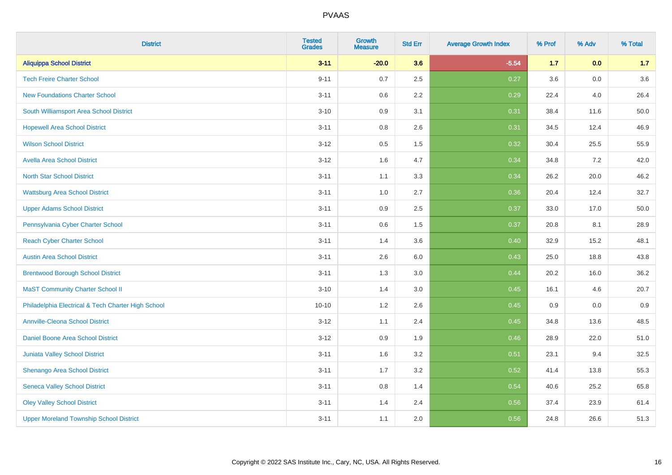| <b>District</b>                                    | <b>Tested</b><br><b>Grades</b> | Growth<br><b>Measure</b> | <b>Std Err</b> | <b>Average Growth Index</b> | % Prof | % Adv | % Total  |
|----------------------------------------------------|--------------------------------|--------------------------|----------------|-----------------------------|--------|-------|----------|
| <b>Aliquippa School District</b>                   | $3 - 11$                       | $-20.0$                  | 3.6            | $-5.54$                     | 1.7    | 0.0   | 1.7      |
| <b>Tech Freire Charter School</b>                  | $9 - 11$                       | 0.7                      | 2.5            | 0.27                        | 3.6    | 0.0   | 3.6      |
| <b>New Foundations Charter School</b>              | $3 - 11$                       | 0.6                      | 2.2            | 0.29                        | 22.4   | 4.0   | 26.4     |
| South Williamsport Area School District            | $3 - 10$                       | 0.9                      | 3.1            | 0.31                        | 38.4   | 11.6  | $50.0\,$ |
| <b>Hopewell Area School District</b>               | $3 - 11$                       | 0.8                      | 2.6            | 0.31                        | 34.5   | 12.4  | 46.9     |
| <b>Wilson School District</b>                      | $3 - 12$                       | $0.5\,$                  | 1.5            | 0.32                        | 30.4   | 25.5  | 55.9     |
| <b>Avella Area School District</b>                 | $3 - 12$                       | 1.6                      | 4.7            | 0.34                        | 34.8   | 7.2   | 42.0     |
| <b>North Star School District</b>                  | $3 - 11$                       | 1.1                      | 3.3            | 0.34                        | 26.2   | 20.0  | 46.2     |
| <b>Wattsburg Area School District</b>              | $3 - 11$                       | 1.0                      | 2.7            | 0.36                        | 20.4   | 12.4  | 32.7     |
| <b>Upper Adams School District</b>                 | $3 - 11$                       | 0.9                      | $2.5\,$        | 0.37                        | 33.0   | 17.0  | $50.0\,$ |
| Pennsylvania Cyber Charter School                  | $3 - 11$                       | 0.6                      | 1.5            | 0.37                        | 20.8   | 8.1   | 28.9     |
| <b>Reach Cyber Charter School</b>                  | $3 - 11$                       | 1.4                      | 3.6            | 0.40                        | 32.9   | 15.2  | 48.1     |
| <b>Austin Area School District</b>                 | $3 - 11$                       | 2.6                      | 6.0            | 0.43                        | 25.0   | 18.8  | 43.8     |
| <b>Brentwood Borough School District</b>           | $3 - 11$                       | 1.3                      | 3.0            | 0.44                        | 20.2   | 16.0  | 36.2     |
| <b>MaST Community Charter School II</b>            | $3 - 10$                       | 1.4                      | 3.0            | 0.45                        | 16.1   | 4.6   | 20.7     |
| Philadelphia Electrical & Tech Charter High School | $10 - 10$                      | 1.2                      | 2.6            | 0.45                        | 0.9    | 0.0   | 0.9      |
| <b>Annville-Cleona School District</b>             | $3 - 12$                       | 1.1                      | 2.4            | 0.45                        | 34.8   | 13.6  | 48.5     |
| Daniel Boone Area School District                  | $3 - 12$                       | 0.9                      | 1.9            | 0.46                        | 28.9   | 22.0  | 51.0     |
| <b>Juniata Valley School District</b>              | $3 - 11$                       | 1.6                      | 3.2            | 0.51                        | 23.1   | 9.4   | 32.5     |
| Shenango Area School District                      | $3 - 11$                       | 1.7                      | 3.2            | 0.52                        | 41.4   | 13.8  | 55.3     |
| <b>Seneca Valley School District</b>               | $3 - 11$                       | 0.8                      | 1.4            | 0.54                        | 40.6   | 25.2  | 65.8     |
| <b>Oley Valley School District</b>                 | $3 - 11$                       | 1.4                      | 2.4            | 0.56                        | 37.4   | 23.9  | 61.4     |
| <b>Upper Moreland Township School District</b>     | $3 - 11$                       | 1.1                      | 2.0            | 0.56                        | 24.8   | 26.6  | 51.3     |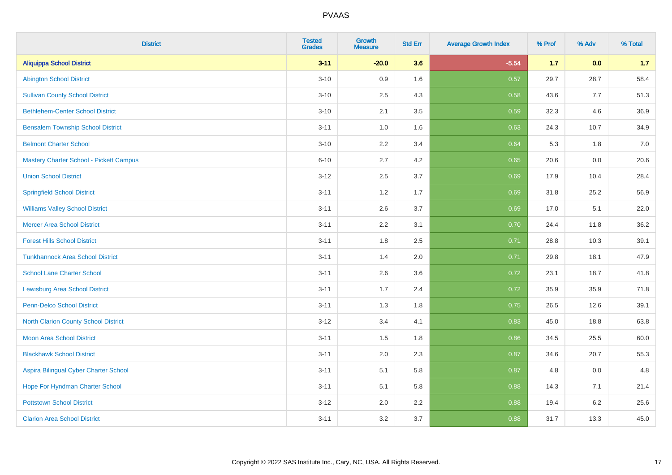| <b>District</b>                                | <b>Tested</b><br><b>Grades</b> | Growth<br><b>Measure</b> | <b>Std Err</b> | <b>Average Growth Index</b> | % Prof | % Adv   | % Total |
|------------------------------------------------|--------------------------------|--------------------------|----------------|-----------------------------|--------|---------|---------|
| <b>Aliquippa School District</b>               | $3 - 11$                       | $-20.0$                  | 3.6            | $-5.54$                     | $1.7$  | 0.0     | 1.7     |
| <b>Abington School District</b>                | $3 - 10$                       | 0.9                      | 1.6            | 0.57                        | 29.7   | 28.7    | 58.4    |
| <b>Sullivan County School District</b>         | $3 - 10$                       | 2.5                      | 4.3            | 0.58                        | 43.6   | 7.7     | 51.3    |
| <b>Bethlehem-Center School District</b>        | $3 - 10$                       | 2.1                      | 3.5            | 0.59                        | 32.3   | 4.6     | 36.9    |
| <b>Bensalem Township School District</b>       | $3 - 11$                       | 1.0                      | 1.6            | 0.63                        | 24.3   | 10.7    | 34.9    |
| <b>Belmont Charter School</b>                  | $3 - 10$                       | 2.2                      | 3.4            | 0.64                        | 5.3    | 1.8     | 7.0     |
| <b>Mastery Charter School - Pickett Campus</b> | $6 - 10$                       | 2.7                      | 4.2            | 0.65                        | 20.6   | 0.0     | 20.6    |
| <b>Union School District</b>                   | $3 - 12$                       | 2.5                      | 3.7            | 0.69                        | 17.9   | 10.4    | 28.4    |
| <b>Springfield School District</b>             | $3 - 11$                       | 1.2                      | 1.7            | 0.69                        | 31.8   | 25.2    | 56.9    |
| <b>Williams Valley School District</b>         | $3 - 11$                       | 2.6                      | 3.7            | 0.69                        | 17.0   | 5.1     | 22.0    |
| <b>Mercer Area School District</b>             | $3 - 11$                       | 2.2                      | 3.1            | 0.70                        | 24.4   | 11.8    | 36.2    |
| <b>Forest Hills School District</b>            | $3 - 11$                       | 1.8                      | 2.5            | 0.71                        | 28.8   | 10.3    | 39.1    |
| <b>Tunkhannock Area School District</b>        | $3 - 11$                       | 1.4                      | 2.0            | 0.71                        | 29.8   | 18.1    | 47.9    |
| <b>School Lane Charter School</b>              | $3 - 11$                       | 2.6                      | 3.6            | 0.72                        | 23.1   | 18.7    | 41.8    |
| <b>Lewisburg Area School District</b>          | $3 - 11$                       | 1.7                      | 2.4            | 0.72                        | 35.9   | 35.9    | 71.8    |
| <b>Penn-Delco School District</b>              | $3 - 11$                       | 1.3                      | 1.8            | 0.75                        | 26.5   | 12.6    | 39.1    |
| <b>North Clarion County School District</b>    | $3 - 12$                       | 3.4                      | 4.1            | 0.83                        | 45.0   | 18.8    | 63.8    |
| <b>Moon Area School District</b>               | $3 - 11$                       | 1.5                      | 1.8            | 0.86                        | 34.5   | 25.5    | 60.0    |
| <b>Blackhawk School District</b>               | $3 - 11$                       | 2.0                      | 2.3            | 0.87                        | 34.6   | 20.7    | 55.3    |
| Aspira Bilingual Cyber Charter School          | $3 - 11$                       | 5.1                      | 5.8            | 0.87                        | 4.8    | 0.0     | 4.8     |
| Hope For Hyndman Charter School                | $3 - 11$                       | 5.1                      | 5.8            | 0.88                        | 14.3   | 7.1     | 21.4    |
| <b>Pottstown School District</b>               | $3 - 12$                       | 2.0                      | 2.2            | 0.88                        | 19.4   | $6.2\,$ | 25.6    |
| <b>Clarion Area School District</b>            | $3 - 11$                       | 3.2                      | 3.7            | 0.88                        | 31.7   | 13.3    | 45.0    |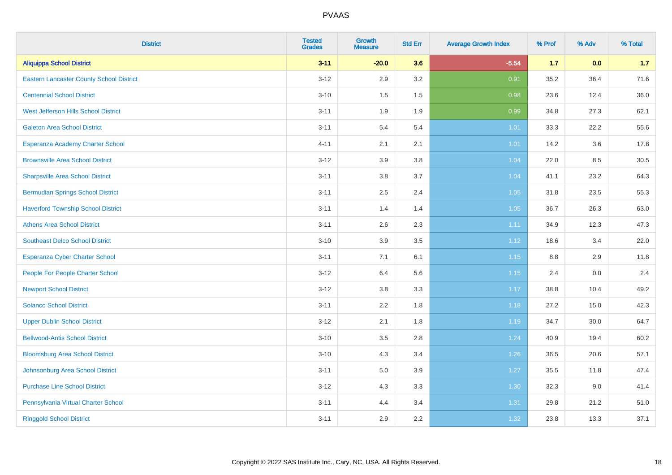| <b>District</b>                                 | <b>Tested</b><br><b>Grades</b> | <b>Growth</b><br><b>Measure</b> | <b>Std Err</b> | <b>Average Growth Index</b> | % Prof  | % Adv | % Total |
|-------------------------------------------------|--------------------------------|---------------------------------|----------------|-----------------------------|---------|-------|---------|
| <b>Aliquippa School District</b>                | $3 - 11$                       | $-20.0$                         | 3.6            | $-5.54$                     | $1.7$   | 0.0   | 1.7     |
| <b>Eastern Lancaster County School District</b> | $3 - 12$                       | 2.9                             | 3.2            | 0.91                        | 35.2    | 36.4  | 71.6    |
| <b>Centennial School District</b>               | $3 - 10$                       | 1.5                             | 1.5            | 0.98                        | 23.6    | 12.4  | 36.0    |
| West Jefferson Hills School District            | $3 - 11$                       | 1.9                             | 1.9            | 0.99                        | 34.8    | 27.3  | 62.1    |
| <b>Galeton Area School District</b>             | $3 - 11$                       | 5.4                             | 5.4            | 1.01                        | 33.3    | 22.2  | 55.6    |
| Esperanza Academy Charter School                | $4 - 11$                       | 2.1                             | 2.1            | 1.01                        | 14.2    | 3.6   | 17.8    |
| <b>Brownsville Area School District</b>         | $3 - 12$                       | 3.9                             | 3.8            | 1.04                        | 22.0    | 8.5   | 30.5    |
| <b>Sharpsville Area School District</b>         | $3 - 11$                       | 3.8                             | 3.7            | 1.04                        | 41.1    | 23.2  | 64.3    |
| <b>Bermudian Springs School District</b>        | $3 - 11$                       | 2.5                             | 2.4            | 1.05                        | 31.8    | 23.5  | 55.3    |
| <b>Haverford Township School District</b>       | $3 - 11$                       | 1.4                             | 1.4            | 1.05                        | 36.7    | 26.3  | 63.0    |
| <b>Athens Area School District</b>              | $3 - 11$                       | 2.6                             | 2.3            | 1.11                        | 34.9    | 12.3  | 47.3    |
| <b>Southeast Delco School District</b>          | $3 - 10$                       | 3.9                             | 3.5            | 1.12                        | 18.6    | 3.4   | 22.0    |
| <b>Esperanza Cyber Charter School</b>           | $3 - 11$                       | 7.1                             | 6.1            | 1.15                        | $8.8\,$ | 2.9   | 11.8    |
| People For People Charter School                | $3 - 12$                       | 6.4                             | 5.6            | 1.15                        | 2.4     | 0.0   | 2.4     |
| <b>Newport School District</b>                  | $3 - 12$                       | $3.8\,$                         | 3.3            | 1.17                        | 38.8    | 10.4  | 49.2    |
| <b>Solanco School District</b>                  | $3 - 11$                       | 2.2                             | 1.8            | 1.18                        | 27.2    | 15.0  | 42.3    |
| <b>Upper Dublin School District</b>             | $3 - 12$                       | 2.1                             | 1.8            | 1.19                        | 34.7    | 30.0  | 64.7    |
| <b>Bellwood-Antis School District</b>           | $3 - 10$                       | 3.5                             | 2.8            | 1.24                        | 40.9    | 19.4  | 60.2    |
| <b>Bloomsburg Area School District</b>          | $3 - 10$                       | 4.3                             | 3.4            | 1.26                        | 36.5    | 20.6  | 57.1    |
| Johnsonburg Area School District                | $3 - 11$                       | 5.0                             | 3.9            | 1.27                        | 35.5    | 11.8  | 47.4    |
| <b>Purchase Line School District</b>            | $3 - 12$                       | 4.3                             | 3.3            | 1.30                        | 32.3    | 9.0   | 41.4    |
| Pennsylvania Virtual Charter School             | $3 - 11$                       | 4.4                             | 3.4            | 1.31                        | 29.8    | 21.2  | 51.0    |
| <b>Ringgold School District</b>                 | $3 - 11$                       | 2.9                             | 2.2            | 1.32                        | 23.8    | 13.3  | 37.1    |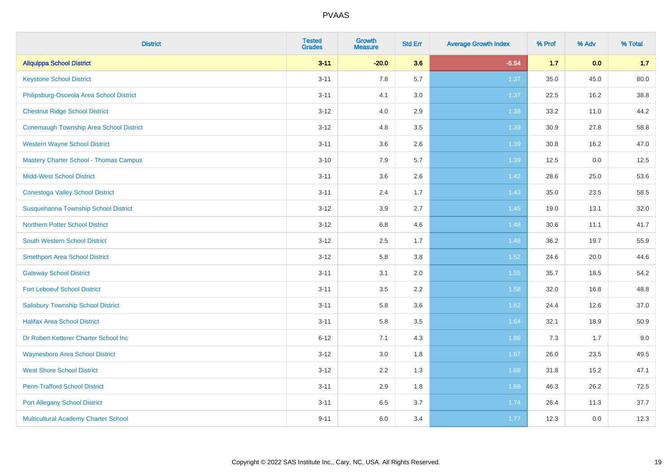| <b>District</b>                                | <b>Tested</b><br><b>Grades</b> | <b>Growth</b><br><b>Measure</b> | <b>Std Err</b> | <b>Average Growth Index</b> | % Prof | % Adv | % Total |
|------------------------------------------------|--------------------------------|---------------------------------|----------------|-----------------------------|--------|-------|---------|
| <b>Aliquippa School District</b>               | $3 - 11$                       | $-20.0$                         | 3.6            | $-5.54$                     | 1.7    | 0.0   | 1.7     |
| <b>Keystone School District</b>                | $3 - 11$                       | 7.8                             | 5.7            | 1.37                        | 35.0   | 45.0  | 80.0    |
| Philipsburg-Osceola Area School District       | $3 - 11$                       | 4.1                             | 3.0            | 1.37                        | 22.5   | 16.2  | 38.8    |
| <b>Chestnut Ridge School District</b>          | $3 - 12$                       | 4.0                             | 2.9            | 1.38                        | 33.2   | 11.0  | 44.2    |
| <b>Conemaugh Township Area School District</b> | $3 - 12$                       | 4.8                             | 3.5            | 1.39                        | 30.9   | 27.8  | 58.8    |
| <b>Western Wayne School District</b>           | $3 - 11$                       | 3.6                             | 2.6            | 1.39                        | 30.8   | 16.2  | 47.0    |
| <b>Mastery Charter School - Thomas Campus</b>  | $3 - 10$                       | 7.9                             | 5.7            | 1.39                        | 12.5   | 0.0   | 12.5    |
| <b>Midd-West School District</b>               | $3 - 11$                       | 3.6                             | 2.6            | 1.42                        | 28.6   | 25.0  | 53.6    |
| <b>Conestoga Valley School District</b>        | $3 - 11$                       | 2.4                             | 1.7            | 1.43                        | 35.0   | 23.5  | 58.5    |
| Susquehanna Township School District           | $3 - 12$                       | 3.9                             | 2.7            | 1.45                        | 19.0   | 13.1  | 32.0    |
| <b>Northern Potter School District</b>         | $3 - 12$                       | $6.8\,$                         | 4.6            | 1.48                        | 30.6   | 11.1  | 41.7    |
| South Western School District                  | $3 - 12$                       | 2.5                             | 1.7            | 1.48                        | 36.2   | 19.7  | 55.9    |
| <b>Smethport Area School District</b>          | $3 - 12$                       | 5.8                             | 3.8            | 1.52                        | 24.6   | 20.0  | 44.6    |
| <b>Gateway School District</b>                 | $3 - 11$                       | 3.1                             | 2.0            | 1.55                        | 35.7   | 18.5  | 54.2    |
| <b>Fort Leboeuf School District</b>            | $3 - 11$                       | 3.5                             | 2.2            | 1.58                        | 32.0   | 16.8  | 48.8    |
| <b>Salisbury Township School District</b>      | $3 - 11$                       | 5.8                             | 3.6            | 1.62                        | 24.4   | 12.6  | 37.0    |
| <b>Halifax Area School District</b>            | $3 - 11$                       | 5.8                             | 3.5            | 1.64                        | 32.1   | 18.9  | 50.9    |
| Dr Robert Ketterer Charter School Inc          | $6 - 12$                       | 7.1                             | 4.3            | 1.66                        | 7.3    | 1.7   | 9.0     |
| <b>Waynesboro Area School District</b>         | $3 - 12$                       | 3.0                             | 1.8            | 1.67                        | 26.0   | 23.5  | 49.5    |
| <b>West Shore School District</b>              | $3 - 12$                       | 2.2                             | 1.3            | 1.68                        | 31.8   | 15.2  | 47.1    |
| <b>Penn-Trafford School District</b>           | $3 - 11$                       | 2.9                             | 1.8            | 1.68                        | 46.3   | 26.2  | 72.5    |
| <b>Port Allegany School District</b>           | $3 - 11$                       | 6.5                             | 3.7            | 1.74                        | 26.4   | 11.3  | 37.7    |
| Multicultural Academy Charter School           | $9 - 11$                       | 6.0                             | 3.4            | 1.77                        | 12.3   | 0.0   | 12.3    |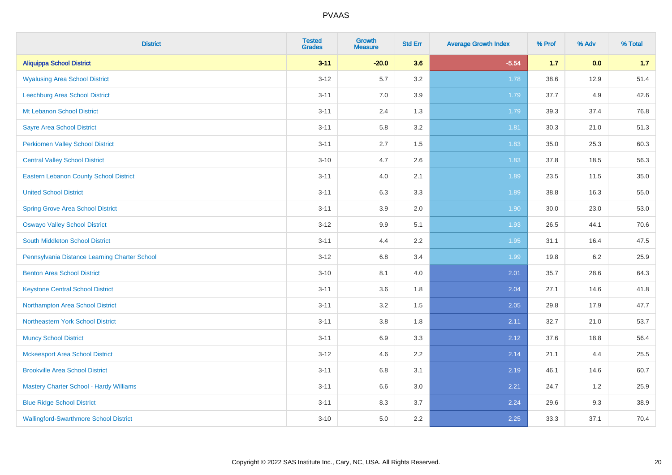| <b>District</b>                                | <b>Tested</b><br><b>Grades</b> | <b>Growth</b><br><b>Measure</b> | <b>Std Err</b> | <b>Average Growth Index</b> | % Prof | % Adv | % Total |
|------------------------------------------------|--------------------------------|---------------------------------|----------------|-----------------------------|--------|-------|---------|
| <b>Aliquippa School District</b>               | $3 - 11$                       | $-20.0$                         | 3.6            | $-5.54$                     | 1.7    | 0.0   | 1.7     |
| <b>Wyalusing Area School District</b>          | $3 - 12$                       | 5.7                             | 3.2            | 1.78                        | 38.6   | 12.9  | 51.4    |
| Leechburg Area School District                 | $3 - 11$                       | 7.0                             | 3.9            | 1.79                        | 37.7   | 4.9   | 42.6    |
| Mt Lebanon School District                     | $3 - 11$                       | 2.4                             | 1.3            | 1.79                        | 39.3   | 37.4  | 76.8    |
| <b>Sayre Area School District</b>              | $3 - 11$                       | 5.8                             | 3.2            | 1.81                        | 30.3   | 21.0  | 51.3    |
| <b>Perkiomen Valley School District</b>        | $3 - 11$                       | 2.7                             | 1.5            | 1.83                        | 35.0   | 25.3  | 60.3    |
| <b>Central Valley School District</b>          | $3 - 10$                       | 4.7                             | 2.6            | 1.83                        | 37.8   | 18.5  | 56.3    |
| <b>Eastern Lebanon County School District</b>  | $3 - 11$                       | 4.0                             | 2.1            | 1.89                        | 23.5   | 11.5  | 35.0    |
| <b>United School District</b>                  | $3 - 11$                       | 6.3                             | 3.3            | 1.89                        | 38.8   | 16.3  | 55.0    |
| <b>Spring Grove Area School District</b>       | $3 - 11$                       | 3.9                             | 2.0            | 1.90                        | 30.0   | 23.0  | 53.0    |
| <b>Oswayo Valley School District</b>           | $3 - 12$                       | 9.9                             | 5.1            | 1.93                        | 26.5   | 44.1  | 70.6    |
| South Middleton School District                | $3 - 11$                       | 4.4                             | 2.2            | 1.95                        | 31.1   | 16.4  | 47.5    |
| Pennsylvania Distance Learning Charter School  | $3 - 12$                       | $6.8\,$                         | 3.4            | 1.99                        | 19.8   | 6.2   | 25.9    |
| <b>Benton Area School District</b>             | $3 - 10$                       | 8.1                             | 4.0            | 2.01                        | 35.7   | 28.6  | 64.3    |
| <b>Keystone Central School District</b>        | $3 - 11$                       | 3.6                             | 1.8            | 2.04                        | 27.1   | 14.6  | 41.8    |
| Northampton Area School District               | $3 - 11$                       | 3.2                             | 1.5            | 2.05                        | 29.8   | 17.9  | 47.7    |
| Northeastern York School District              | $3 - 11$                       | $3.8\,$                         | 1.8            | 2.11                        | 32.7   | 21.0  | 53.7    |
| <b>Muncy School District</b>                   | $3 - 11$                       | 6.9                             | 3.3            | 2.12                        | 37.6   | 18.8  | 56.4    |
| <b>Mckeesport Area School District</b>         | $3 - 12$                       | 4.6                             | 2.2            | 2.14                        | 21.1   | 4.4   | 25.5    |
| <b>Brookville Area School District</b>         | $3 - 11$                       | $6.8\,$                         | 3.1            | 2.19                        | 46.1   | 14.6  | 60.7    |
| <b>Mastery Charter School - Hardy Williams</b> | $3 - 11$                       | 6.6                             | 3.0            | 2.21                        | 24.7   | 1.2   | 25.9    |
| <b>Blue Ridge School District</b>              | $3 - 11$                       | 8.3                             | 3.7            | 2.24                        | 29.6   | 9.3   | 38.9    |
| <b>Wallingford-Swarthmore School District</b>  | $3 - 10$                       | 5.0                             | 2.2            | 2.25                        | 33.3   | 37.1  | 70.4    |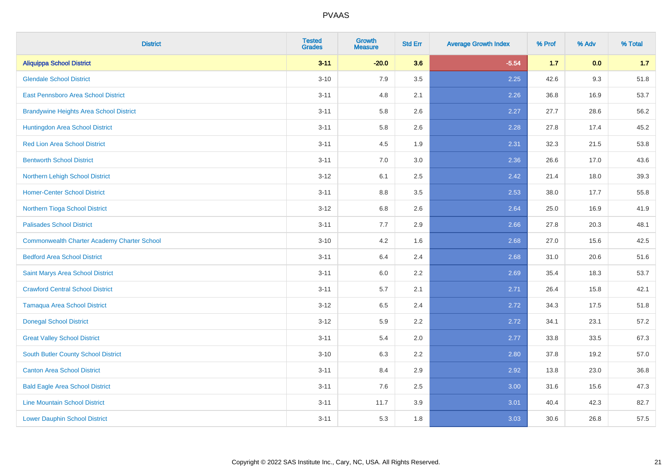| <b>District</b>                                    | <b>Tested</b><br><b>Grades</b> | <b>Growth</b><br><b>Measure</b> | <b>Std Err</b> | <b>Average Growth Index</b> | % Prof | % Adv | % Total |
|----------------------------------------------------|--------------------------------|---------------------------------|----------------|-----------------------------|--------|-------|---------|
| <b>Aliquippa School District</b>                   | $3 - 11$                       | $-20.0$                         | 3.6            | $-5.54$                     | $1.7$  | 0.0   | 1.7     |
| <b>Glendale School District</b>                    | $3 - 10$                       | 7.9                             | 3.5            | 2.25                        | 42.6   | 9.3   | 51.8    |
| <b>East Pennsboro Area School District</b>         | $3 - 11$                       | 4.8                             | 2.1            | 2.26                        | 36.8   | 16.9  | 53.7    |
| <b>Brandywine Heights Area School District</b>     | $3 - 11$                       | 5.8                             | 2.6            | 2.27                        | 27.7   | 28.6  | 56.2    |
| Huntingdon Area School District                    | $3 - 11$                       | 5.8                             | 2.6            | 2.28                        | 27.8   | 17.4  | 45.2    |
| <b>Red Lion Area School District</b>               | $3 - 11$                       | 4.5                             | 1.9            | 2.31                        | 32.3   | 21.5  | 53.8    |
| <b>Bentworth School District</b>                   | $3 - 11$                       | 7.0                             | 3.0            | 2.36                        | 26.6   | 17.0  | 43.6    |
| Northern Lehigh School District                    | $3 - 12$                       | 6.1                             | 2.5            | 2.42                        | 21.4   | 18.0  | 39.3    |
| <b>Homer-Center School District</b>                | $3 - 11$                       | 8.8                             | 3.5            | 2.53                        | 38.0   | 17.7  | 55.8    |
| Northern Tioga School District                     | $3 - 12$                       | 6.8                             | 2.6            | 2.64                        | 25.0   | 16.9  | 41.9    |
| <b>Palisades School District</b>                   | $3 - 11$                       | 7.7                             | 2.9            | 2.66                        | 27.8   | 20.3  | 48.1    |
| <b>Commonwealth Charter Academy Charter School</b> | $3 - 10$                       | 4.2                             | 1.6            | 2.68                        | 27.0   | 15.6  | 42.5    |
| <b>Bedford Area School District</b>                | $3 - 11$                       | 6.4                             | 2.4            | 2.68                        | 31.0   | 20.6  | 51.6    |
| Saint Marys Area School District                   | $3 - 11$                       | 6.0                             | 2.2            | 2.69                        | 35.4   | 18.3  | 53.7    |
| <b>Crawford Central School District</b>            | $3 - 11$                       | 5.7                             | 2.1            | 2.71                        | 26.4   | 15.8  | 42.1    |
| <b>Tamaqua Area School District</b>                | $3-12$                         | 6.5                             | 2.4            | 2.72                        | 34.3   | 17.5  | 51.8    |
| <b>Donegal School District</b>                     | $3-12$                         | 5.9                             | 2.2            | 2.72                        | 34.1   | 23.1  | 57.2    |
| <b>Great Valley School District</b>                | $3 - 11$                       | 5.4                             | 2.0            | 2.77                        | 33.8   | 33.5  | 67.3    |
| South Butler County School District                | $3 - 10$                       | 6.3                             | 2.2            | 2.80                        | 37.8   | 19.2  | 57.0    |
| <b>Canton Area School District</b>                 | $3 - 11$                       | 8.4                             | 2.9            | 2.92                        | 13.8   | 23.0  | 36.8    |
| <b>Bald Eagle Area School District</b>             | $3 - 11$                       | 7.6                             | 2.5            | 3.00                        | 31.6   | 15.6  | 47.3    |
| <b>Line Mountain School District</b>               | $3 - 11$                       | 11.7                            | 3.9            | 3.01                        | 40.4   | 42.3  | 82.7    |
| <b>Lower Dauphin School District</b>               | $3 - 11$                       | 5.3                             | 1.8            | 3.03                        | 30.6   | 26.8  | 57.5    |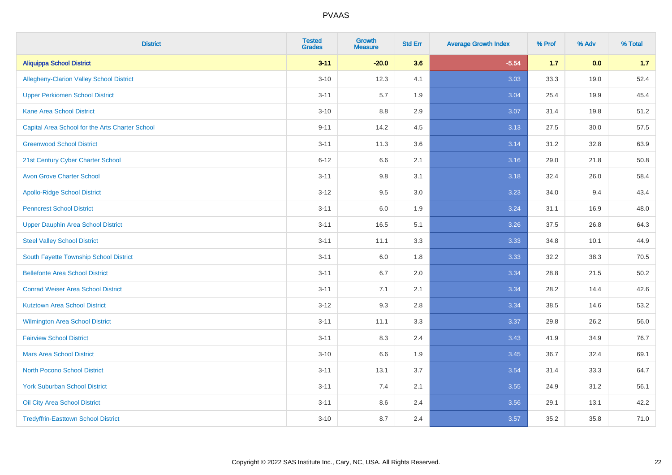| <b>District</b>                                 | <b>Tested</b><br><b>Grades</b> | <b>Growth</b><br><b>Measure</b> | <b>Std Err</b> | <b>Average Growth Index</b> | % Prof | % Adv | % Total |
|-------------------------------------------------|--------------------------------|---------------------------------|----------------|-----------------------------|--------|-------|---------|
| <b>Aliquippa School District</b>                | $3 - 11$                       | $-20.0$                         | 3.6            | $-5.54$                     | $1.7$  | 0.0   | 1.7     |
| <b>Allegheny-Clarion Valley School District</b> | $3 - 10$                       | 12.3                            | 4.1            | 3.03                        | 33.3   | 19.0  | 52.4    |
| <b>Upper Perkiomen School District</b>          | $3 - 11$                       | 5.7                             | 1.9            | 3.04                        | 25.4   | 19.9  | 45.4    |
| <b>Kane Area School District</b>                | $3 - 10$                       | 8.8                             | 2.9            | 3.07                        | 31.4   | 19.8  | 51.2    |
| Capital Area School for the Arts Charter School | $9 - 11$                       | 14.2                            | 4.5            | 3.13                        | 27.5   | 30.0  | 57.5    |
| <b>Greenwood School District</b>                | $3 - 11$                       | 11.3                            | 3.6            | 3.14                        | 31.2   | 32.8  | 63.9    |
| 21st Century Cyber Charter School               | $6 - 12$                       | 6.6                             | 2.1            | 3.16                        | 29.0   | 21.8  | 50.8    |
| <b>Avon Grove Charter School</b>                | $3 - 11$                       | 9.8                             | 3.1            | 3.18                        | 32.4   | 26.0  | 58.4    |
| <b>Apollo-Ridge School District</b>             | $3 - 12$                       | 9.5                             | 3.0            | 3.23                        | 34.0   | 9.4   | 43.4    |
| <b>Penncrest School District</b>                | $3 - 11$                       | 6.0                             | 1.9            | 3.24                        | 31.1   | 16.9  | 48.0    |
| <b>Upper Dauphin Area School District</b>       | $3 - 11$                       | 16.5                            | 5.1            | 3.26                        | 37.5   | 26.8  | 64.3    |
| <b>Steel Valley School District</b>             | $3 - 11$                       | 11.1                            | 3.3            | 3.33                        | 34.8   | 10.1  | 44.9    |
| South Fayette Township School District          | $3 - 11$                       | 6.0                             | 1.8            | 3.33                        | 32.2   | 38.3  | 70.5    |
| <b>Bellefonte Area School District</b>          | $3 - 11$                       | $6.7\,$                         | 2.0            | 3.34                        | 28.8   | 21.5  | 50.2    |
| <b>Conrad Weiser Area School District</b>       | $3 - 11$                       | 7.1                             | 2.1            | 3.34                        | 28.2   | 14.4  | 42.6    |
| <b>Kutztown Area School District</b>            | $3 - 12$                       | 9.3                             | 2.8            | 3.34                        | 38.5   | 14.6  | 53.2    |
| Wilmington Area School District                 | $3 - 11$                       | 11.1                            | 3.3            | 3.37                        | 29.8   | 26.2  | 56.0    |
| <b>Fairview School District</b>                 | $3 - 11$                       | 8.3                             | 2.4            | 3.43                        | 41.9   | 34.9  | 76.7    |
| <b>Mars Area School District</b>                | $3 - 10$                       | 6.6                             | 1.9            | 3.45                        | 36.7   | 32.4  | 69.1    |
| <b>North Pocono School District</b>             | $3 - 11$                       | 13.1                            | 3.7            | 3.54                        | 31.4   | 33.3  | 64.7    |
| <b>York Suburban School District</b>            | $3 - 11$                       | 7.4                             | 2.1            | 3.55                        | 24.9   | 31.2  | 56.1    |
| Oil City Area School District                   | $3 - 11$                       | 8.6                             | 2.4            | 3.56                        | 29.1   | 13.1  | 42.2    |
| <b>Tredyffrin-Easttown School District</b>      | $3 - 10$                       | 8.7                             | 2.4            | 3.57                        | 35.2   | 35.8  | 71.0    |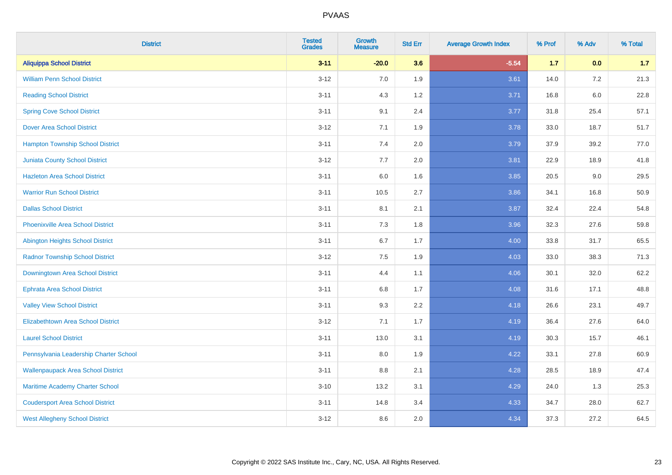| <b>District</b>                           | <b>Tested</b><br><b>Grades</b> | <b>Growth</b><br><b>Measure</b> | <b>Std Err</b> | <b>Average Growth Index</b> | % Prof | % Adv   | % Total |
|-------------------------------------------|--------------------------------|---------------------------------|----------------|-----------------------------|--------|---------|---------|
| <b>Aliquippa School District</b>          | $3 - 11$                       | $-20.0$                         | 3.6            | $-5.54$                     | $1.7$  | 0.0     | 1.7     |
| <b>William Penn School District</b>       | $3 - 12$                       | 7.0                             | 1.9            | 3.61                        | 14.0   | $7.2\,$ | 21.3    |
| <b>Reading School District</b>            | $3 - 11$                       | 4.3                             | 1.2            | 3.71                        | 16.8   | $6.0\,$ | 22.8    |
| <b>Spring Cove School District</b>        | $3 - 11$                       | 9.1                             | 2.4            | 3.77                        | 31.8   | 25.4    | 57.1    |
| <b>Dover Area School District</b>         | $3-12$                         | 7.1                             | 1.9            | 3.78                        | 33.0   | 18.7    | 51.7    |
| <b>Hampton Township School District</b>   | $3 - 11$                       | 7.4                             | 2.0            | 3.79                        | 37.9   | 39.2    | 77.0    |
| <b>Juniata County School District</b>     | $3-12$                         | 7.7                             | 2.0            | 3.81                        | 22.9   | 18.9    | 41.8    |
| <b>Hazleton Area School District</b>      | $3 - 11$                       | 6.0                             | 1.6            | 3.85                        | 20.5   | 9.0     | 29.5    |
| <b>Warrior Run School District</b>        | $3 - 11$                       | 10.5                            | 2.7            | 3.86                        | 34.1   | 16.8    | 50.9    |
| <b>Dallas School District</b>             | $3 - 11$                       | 8.1                             | 2.1            | 3.87                        | 32.4   | 22.4    | 54.8    |
| <b>Phoenixville Area School District</b>  | $3 - 11$                       | 7.3                             | 1.8            | 3.96                        | 32.3   | 27.6    | 59.8    |
| Abington Heights School District          | $3 - 11$                       | 6.7                             | 1.7            | 4.00                        | 33.8   | 31.7    | 65.5    |
| <b>Radnor Township School District</b>    | $3 - 12$                       | $7.5\,$                         | 1.9            | 4.03                        | 33.0   | 38.3    | 71.3    |
| Downingtown Area School District          | $3 - 11$                       | 4.4                             | 1.1            | 4.06                        | 30.1   | 32.0    | 62.2    |
| <b>Ephrata Area School District</b>       | $3 - 11$                       | 6.8                             | 1.7            | 4.08                        | 31.6   | 17.1    | 48.8    |
| <b>Valley View School District</b>        | $3 - 11$                       | 9.3                             | 2.2            | 4.18                        | 26.6   | 23.1    | 49.7    |
| <b>Elizabethtown Area School District</b> | $3-12$                         | 7.1                             | 1.7            | 4.19                        | 36.4   | 27.6    | 64.0    |
| <b>Laurel School District</b>             | $3 - 11$                       | 13.0                            | 3.1            | 4.19                        | 30.3   | 15.7    | 46.1    |
| Pennsylvania Leadership Charter School    | $3 - 11$                       | 8.0                             | 1.9            | 4.22                        | 33.1   | 27.8    | 60.9    |
| <b>Wallenpaupack Area School District</b> | $3 - 11$                       | 8.8                             | 2.1            | 4.28                        | 28.5   | 18.9    | 47.4    |
| Maritime Academy Charter School           | $3 - 10$                       | 13.2                            | 3.1            | 4.29                        | 24.0   | 1.3     | 25.3    |
| <b>Coudersport Area School District</b>   | $3 - 11$                       | 14.8                            | 3.4            | 4.33                        | 34.7   | 28.0    | 62.7    |
| <b>West Allegheny School District</b>     | $3-12$                         | 8.6                             | 2.0            | 4.34                        | 37.3   | 27.2    | 64.5    |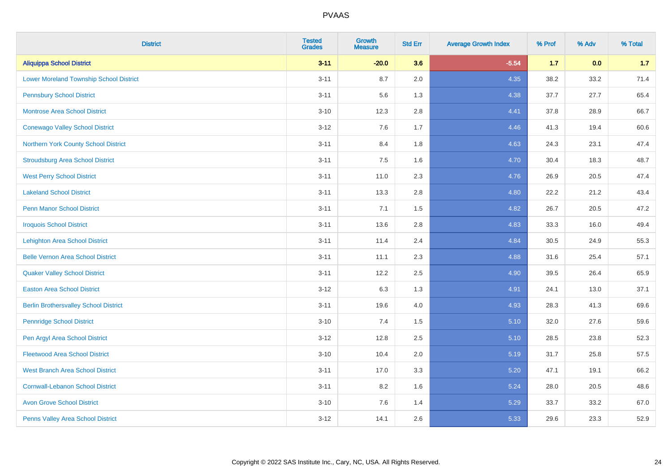| <b>District</b>                                | <b>Tested</b><br><b>Grades</b> | <b>Growth</b><br><b>Measure</b> | <b>Std Err</b> | <b>Average Growth Index</b> | % Prof | % Adv | % Total |
|------------------------------------------------|--------------------------------|---------------------------------|----------------|-----------------------------|--------|-------|---------|
| <b>Aliquippa School District</b>               | $3 - 11$                       | $-20.0$                         | 3.6            | $-5.54$                     | 1.7    | 0.0   | 1.7     |
| <b>Lower Moreland Township School District</b> | $3 - 11$                       | 8.7                             | 2.0            | 4.35                        | 38.2   | 33.2  | 71.4    |
| <b>Pennsbury School District</b>               | $3 - 11$                       | 5.6                             | 1.3            | 4.38                        | 37.7   | 27.7  | 65.4    |
| <b>Montrose Area School District</b>           | $3 - 10$                       | 12.3                            | 2.8            | 4.41                        | 37.8   | 28.9  | 66.7    |
| <b>Conewago Valley School District</b>         | $3 - 12$                       | 7.6                             | 1.7            | 4.46                        | 41.3   | 19.4  | 60.6    |
| Northern York County School District           | $3 - 11$                       | 8.4                             | 1.8            | 4.63                        | 24.3   | 23.1  | 47.4    |
| <b>Stroudsburg Area School District</b>        | $3 - 11$                       | 7.5                             | 1.6            | 4.70                        | 30.4   | 18.3  | 48.7    |
| <b>West Perry School District</b>              | $3 - 11$                       | 11.0                            | 2.3            | 4.76                        | 26.9   | 20.5  | 47.4    |
| <b>Lakeland School District</b>                | $3 - 11$                       | 13.3                            | 2.8            | 4.80                        | 22.2   | 21.2  | 43.4    |
| <b>Penn Manor School District</b>              | $3 - 11$                       | 7.1                             | 1.5            | 4.82                        | 26.7   | 20.5  | 47.2    |
| <b>Iroquois School District</b>                | $3 - 11$                       | 13.6                            | 2.8            | 4.83                        | 33.3   | 16.0  | 49.4    |
| Lehighton Area School District                 | $3 - 11$                       | 11.4                            | 2.4            | 4.84                        | 30.5   | 24.9  | 55.3    |
| <b>Belle Vernon Area School District</b>       | $3 - 11$                       | 11.1                            | 2.3            | 4.88                        | 31.6   | 25.4  | 57.1    |
| <b>Quaker Valley School District</b>           | $3 - 11$                       | 12.2                            | 2.5            | 4.90                        | 39.5   | 26.4  | 65.9    |
| <b>Easton Area School District</b>             | $3 - 12$                       | 6.3                             | 1.3            | 4.91                        | 24.1   | 13.0  | 37.1    |
| <b>Berlin Brothersvalley School District</b>   | $3 - 11$                       | 19.6                            | 4.0            | 4.93                        | 28.3   | 41.3  | 69.6    |
| <b>Pennridge School District</b>               | $3 - 10$                       | 7.4                             | 1.5            | 5.10                        | 32.0   | 27.6  | 59.6    |
| Pen Argyl Area School District                 | $3 - 12$                       | 12.8                            | 2.5            | 5.10                        | 28.5   | 23.8  | 52.3    |
| <b>Fleetwood Area School District</b>          | $3 - 10$                       | 10.4                            | 2.0            | 5.19                        | 31.7   | 25.8  | 57.5    |
| <b>West Branch Area School District</b>        | $3 - 11$                       | 17.0                            | 3.3            | 5.20                        | 47.1   | 19.1  | 66.2    |
| <b>Cornwall-Lebanon School District</b>        | $3 - 11$                       | 8.2                             | 1.6            | 5.24                        | 28.0   | 20.5  | 48.6    |
| <b>Avon Grove School District</b>              | $3 - 10$                       | 7.6                             | 1.4            | 5.29                        | 33.7   | 33.2  | 67.0    |
| Penns Valley Area School District              | $3 - 12$                       | 14.1                            | 2.6            | 5.33                        | 29.6   | 23.3  | 52.9    |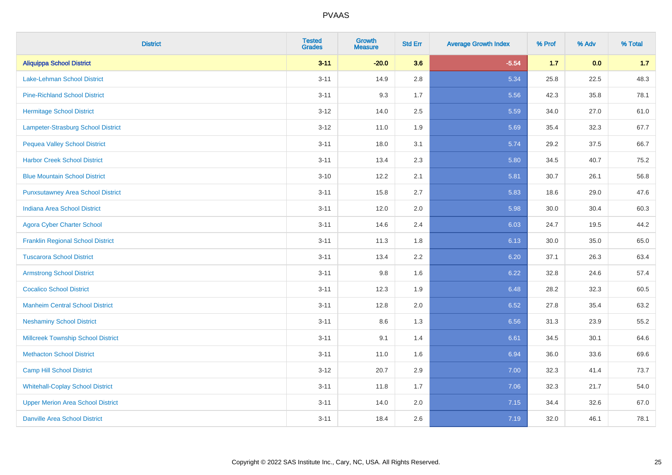| <b>District</b>                           | <b>Tested</b><br><b>Grades</b> | <b>Growth</b><br><b>Measure</b> | <b>Std Err</b> | <b>Average Growth Index</b> | % Prof | % Adv | % Total |
|-------------------------------------------|--------------------------------|---------------------------------|----------------|-----------------------------|--------|-------|---------|
| <b>Aliquippa School District</b>          | $3 - 11$                       | $-20.0$                         | 3.6            | $-5.54$                     | $1.7$  | 0.0   | 1.7     |
| Lake-Lehman School District               | $3 - 11$                       | 14.9                            | 2.8            | 5.34                        | 25.8   | 22.5  | 48.3    |
| <b>Pine-Richland School District</b>      | $3 - 11$                       | 9.3                             | 1.7            | 5.56                        | 42.3   | 35.8  | 78.1    |
| <b>Hermitage School District</b>          | $3 - 12$                       | 14.0                            | 2.5            | 5.59                        | 34.0   | 27.0  | 61.0    |
| Lampeter-Strasburg School District        | $3 - 12$                       | 11.0                            | 1.9            | 5.69                        | 35.4   | 32.3  | 67.7    |
| <b>Pequea Valley School District</b>      | $3 - 11$                       | 18.0                            | 3.1            | 5.74                        | 29.2   | 37.5  | 66.7    |
| <b>Harbor Creek School District</b>       | $3 - 11$                       | 13.4                            | 2.3            | 5.80                        | 34.5   | 40.7  | 75.2    |
| <b>Blue Mountain School District</b>      | $3 - 10$                       | 12.2                            | 2.1            | 5.81                        | 30.7   | 26.1  | 56.8    |
| <b>Punxsutawney Area School District</b>  | $3 - 11$                       | 15.8                            | 2.7            | 5.83                        | 18.6   | 29.0  | 47.6    |
| Indiana Area School District              | $3 - 11$                       | 12.0                            | 2.0            | 5.98                        | 30.0   | 30.4  | 60.3    |
| <b>Agora Cyber Charter School</b>         | $3 - 11$                       | 14.6                            | 2.4            | 6.03                        | 24.7   | 19.5  | 44.2    |
| <b>Franklin Regional School District</b>  | $3 - 11$                       | 11.3                            | 1.8            | 6.13                        | 30.0   | 35.0  | 65.0    |
| <b>Tuscarora School District</b>          | $3 - 11$                       | 13.4                            | 2.2            | 6.20                        | 37.1   | 26.3  | 63.4    |
| <b>Armstrong School District</b>          | $3 - 11$                       | 9.8                             | 1.6            | 6.22                        | 32.8   | 24.6  | 57.4    |
| <b>Cocalico School District</b>           | $3 - 11$                       | 12.3                            | 1.9            | 6.48                        | 28.2   | 32.3  | 60.5    |
| <b>Manheim Central School District</b>    | $3 - 11$                       | 12.8                            | 2.0            | 6.52                        | 27.8   | 35.4  | 63.2    |
| <b>Neshaminy School District</b>          | $3 - 11$                       | 8.6                             | 1.3            | 6.56                        | 31.3   | 23.9  | 55.2    |
| <b>Millcreek Township School District</b> | $3 - 11$                       | 9.1                             | 1.4            | 6.61                        | 34.5   | 30.1  | 64.6    |
| <b>Methacton School District</b>          | $3 - 11$                       | 11.0                            | 1.6            | 6.94                        | 36.0   | 33.6  | 69.6    |
| <b>Camp Hill School District</b>          | $3-12$                         | 20.7                            | 2.9            | 7.00                        | 32.3   | 41.4  | 73.7    |
| <b>Whitehall-Coplay School District</b>   | $3 - 11$                       | 11.8                            | 1.7            | 7.06                        | 32.3   | 21.7  | 54.0    |
| <b>Upper Merion Area School District</b>  | $3 - 11$                       | 14.0                            | 2.0            | 7.15                        | 34.4   | 32.6  | 67.0    |
| <b>Danville Area School District</b>      | $3 - 11$                       | 18.4                            | 2.6            | 7.19                        | 32.0   | 46.1  | 78.1    |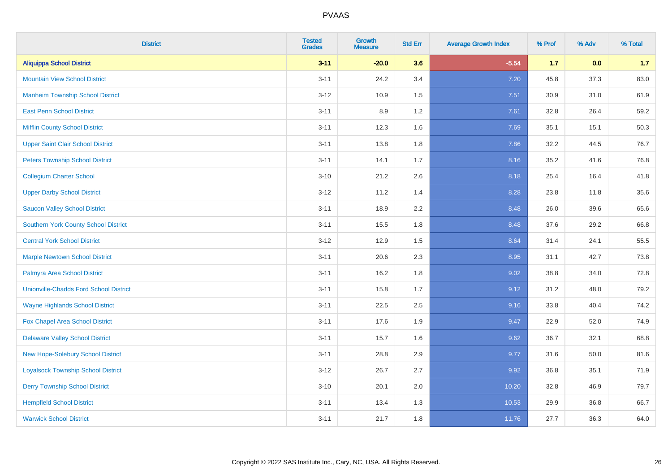| <b>District</b>                               | <b>Tested</b><br><b>Grades</b> | <b>Growth</b><br><b>Measure</b> | <b>Std Err</b> | <b>Average Growth Index</b> | % Prof | % Adv | % Total |
|-----------------------------------------------|--------------------------------|---------------------------------|----------------|-----------------------------|--------|-------|---------|
| <b>Aliquippa School District</b>              | $3 - 11$                       | $-20.0$                         | 3.6            | $-5.54$                     | $1.7$  | 0.0   | 1.7     |
| <b>Mountain View School District</b>          | $3 - 11$                       | 24.2                            | 3.4            | 7.20                        | 45.8   | 37.3  | 83.0    |
| <b>Manheim Township School District</b>       | $3-12$                         | 10.9                            | 1.5            | 7.51                        | 30.9   | 31.0  | 61.9    |
| <b>East Penn School District</b>              | $3 - 11$                       | 8.9                             | 1.2            | 7.61                        | 32.8   | 26.4  | 59.2    |
| <b>Mifflin County School District</b>         | $3 - 11$                       | 12.3                            | 1.6            | 7.69                        | 35.1   | 15.1  | 50.3    |
| <b>Upper Saint Clair School District</b>      | $3 - 11$                       | 13.8                            | 1.8            | 7.86                        | 32.2   | 44.5  | 76.7    |
| <b>Peters Township School District</b>        | $3 - 11$                       | 14.1                            | 1.7            | 8.16                        | 35.2   | 41.6  | 76.8    |
| <b>Collegium Charter School</b>               | $3 - 10$                       | 21.2                            | 2.6            | 8.18                        | 25.4   | 16.4  | 41.8    |
| <b>Upper Darby School District</b>            | $3-12$                         | 11.2                            | 1.4            | 8.28                        | 23.8   | 11.8  | 35.6    |
| <b>Saucon Valley School District</b>          | $3 - 11$                       | 18.9                            | 2.2            | 8.48                        | 26.0   | 39.6  | 65.6    |
| <b>Southern York County School District</b>   | $3 - 11$                       | 15.5                            | 1.8            | 8.48                        | 37.6   | 29.2  | 66.8    |
| <b>Central York School District</b>           | $3-12$                         | 12.9                            | 1.5            | 8.64                        | 31.4   | 24.1  | 55.5    |
| <b>Marple Newtown School District</b>         | $3 - 11$                       | 20.6                            | 2.3            | 8.95                        | 31.1   | 42.7  | 73.8    |
| Palmyra Area School District                  | $3 - 11$                       | 16.2                            | 1.8            | 9.02                        | 38.8   | 34.0  | 72.8    |
| <b>Unionville-Chadds Ford School District</b> | $3 - 11$                       | 15.8                            | 1.7            | 9.12                        | 31.2   | 48.0  | 79.2    |
| <b>Wayne Highlands School District</b>        | $3 - 11$                       | 22.5                            | 2.5            | 9.16                        | 33.8   | 40.4  | 74.2    |
| Fox Chapel Area School District               | $3 - 11$                       | 17.6                            | 1.9            | 9.47                        | 22.9   | 52.0  | 74.9    |
| <b>Delaware Valley School District</b>        | $3 - 11$                       | 15.7                            | 1.6            | 9.62                        | 36.7   | 32.1  | 68.8    |
| <b>New Hope-Solebury School District</b>      | $3 - 11$                       | 28.8                            | 2.9            | 9.77                        | 31.6   | 50.0  | 81.6    |
| <b>Loyalsock Township School District</b>     | $3-12$                         | 26.7                            | 2.7            | 9.92                        | 36.8   | 35.1  | 71.9    |
| <b>Derry Township School District</b>         | $3 - 10$                       | 20.1                            | 2.0            | 10.20                       | 32.8   | 46.9  | 79.7    |
| <b>Hempfield School District</b>              | $3 - 11$                       | 13.4                            | 1.3            | 10.53                       | 29.9   | 36.8  | 66.7    |
| <b>Warwick School District</b>                | $3 - 11$                       | 21.7                            | 1.8            | 11.76                       | 27.7   | 36.3  | 64.0    |